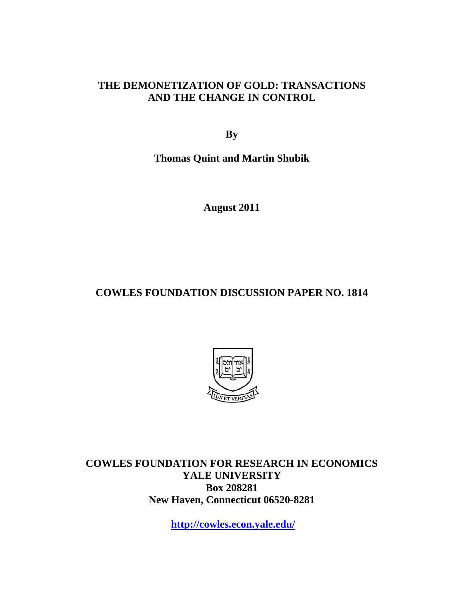### **THE DEMONETIZATION OF GOLD: TRANSACTIONS AND THE CHANGE IN CONTROL**

**By** 

**Thomas Quint and Martin Shubik** 

**August 2011** 

# **COWLES FOUNDATION DISCUSSION PAPER NO. 1814**



**COWLES FOUNDATION FOR RESEARCH IN ECONOMICS YALE UNIVERSITY Box 208281 New Haven, Connecticut 06520-8281** 

**http://cowles.econ.yale.edu/**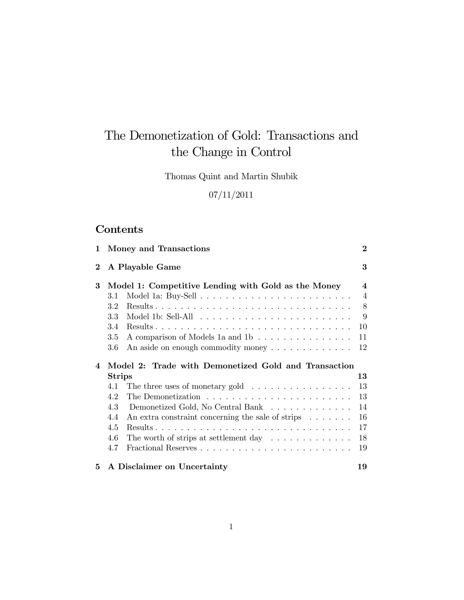# The Demonetization of Gold: Transactions and the Change in Control

Thomas Quint and Martin Shubik

### 07/11/2011

# Contents

| 1                                                                          | Money and Transactions                                                      | $\mathbf{2}$            |  |
|----------------------------------------------------------------------------|-----------------------------------------------------------------------------|-------------------------|--|
| $\bf{2}$                                                                   | A Playable Game                                                             | 3                       |  |
| 3                                                                          | Model 1: Competitive Lending with Gold as the Money                         | $\overline{\mathbf{4}}$ |  |
|                                                                            | 3.1                                                                         | $\overline{4}$          |  |
|                                                                            | $3.2\,$                                                                     | 8                       |  |
|                                                                            | 3.3                                                                         | 9                       |  |
|                                                                            | 3.4                                                                         | 10                      |  |
|                                                                            | 3.5<br>A comparison of Models 1a and 1b                                     | 11                      |  |
|                                                                            | 3.6<br>An aside on enough commodity money $\dots \dots \dots \dots$         | 12                      |  |
| Model 2: Trade with Demonetized Gold and Transaction<br>4<br><b>Strips</b> |                                                                             |                         |  |
|                                                                            |                                                                             | 13                      |  |
|                                                                            | 4.1                                                                         | 13                      |  |
|                                                                            | The three uses of monetary gold $\ldots \ldots \ldots \ldots \ldots$<br>4.2 | 13                      |  |
|                                                                            | 4.3<br>Demonetized Gold, No Central Bank                                    | 14                      |  |
|                                                                            | 4.4                                                                         | 16                      |  |
|                                                                            | An extra constraint concerning the sale of strips $\dots \dots$<br>4.5      | 17                      |  |
|                                                                            | 4.6                                                                         | 18                      |  |
|                                                                            | The worth of strips at settlement day $\dots \dots \dots \dots$<br>4.7      | 19                      |  |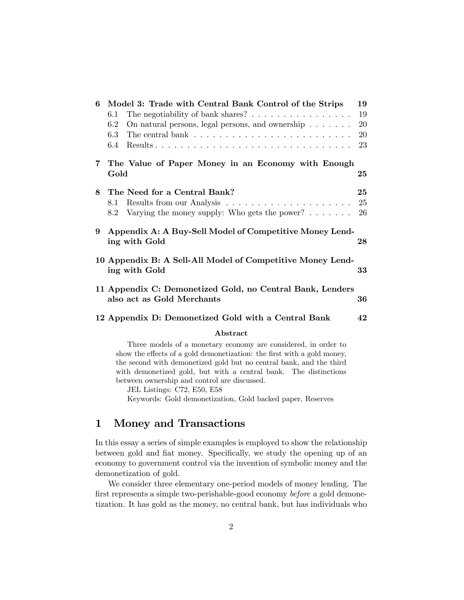| 6 | Model 3: Trade with Central Bank Control of the Strips                                        | 19 |  |  |  |  |
|---|-----------------------------------------------------------------------------------------------|----|--|--|--|--|
|   | The negotiability of bank shares? $\ldots \ldots \ldots \ldots \ldots$<br>6.1                 | 19 |  |  |  |  |
|   | 6.2<br>On natural persons, legal persons, and ownership $\ldots \ldots$                       | 20 |  |  |  |  |
|   | 6.3<br>The central bank $\ldots \ldots \ldots \ldots \ldots \ldots \ldots \ldots$             | 20 |  |  |  |  |
|   | $6.4\,$                                                                                       | 23 |  |  |  |  |
| 7 | The Value of Paper Money in an Economy with Enough<br>Gold                                    | 25 |  |  |  |  |
| 8 | The Need for a Central Bank?                                                                  | 25 |  |  |  |  |
|   | 8.1                                                                                           | 25 |  |  |  |  |
|   | Varying the money supply: Who gets the power? $\dots \dots$<br>8.2                            | 26 |  |  |  |  |
| 9 | Appendix A: A Buy-Sell Model of Competitive Money Lend-<br>ing with Gold<br>28                |    |  |  |  |  |
|   | 10 Appendix B: A Sell-All Model of Competitive Money Lend-<br>ing with Gold                   | 33 |  |  |  |  |
|   | 11 Appendix C: Demonetized Gold, no Central Bank, Lenders<br>also act as Gold Merchants<br>36 |    |  |  |  |  |
|   | 12 Appendix D: Demonetized Gold with a Central Bank                                           | 42 |  |  |  |  |
|   | Abstract                                                                                      |    |  |  |  |  |
|   | Three models of a monetary economy are considered in order to                                 |    |  |  |  |  |

Three models of a monetary economy are considered, in order to show the effects of a gold demonetization: the first with a gold money, the second with demonetized gold but no central bank, and the third with demonetized gold, but with a central bank. The distinctions between ownership and control are discussed.

JEL Listings: C72, E50, E58

Keywords: Gold demonetization, Gold backed paper, Reserves

### 1 Money and Transactions

In this essay a series of simple examples is employed to show the relationship between gold and fiat money. Specifically, we study the opening up of an economy to government control via the invention of symbolic money and the demonetization of gold.

We consider three elementary one-period models of money lending. The first represents a simple two-perishable-good economy before a gold demonetization. It has gold as the money, no central bank, but has individuals who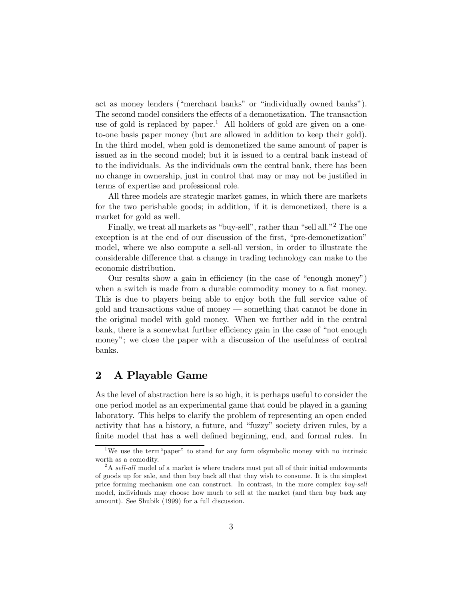act as money lenders ("merchant banks" or "individually owned banks"). The second model considers the effects of a demonetization. The transaction use of gold is replaced by paper.<sup>1</sup> All holders of gold are given on a oneto-one basis paper money (but are allowed in addition to keep their gold). In the third model, when gold is demonetized the same amount of paper is issued as in the second model; but it is issued to a central bank instead of to the individuals. As the individuals own the central bank, there has been no change in ownership, just in control that may or may not be justified in terms of expertise and professional role.

All three models are strategic market games, in which there are markets for the two perishable goods; in addition, if it is demonetized, there is a market for gold as well.

Finally, we treat all markets as "buy-sell", rather than "sell all."<sup>2</sup> The one exception is at the end of our discussion of the first, "pre-demonetization" model, where we also compute a sell-all version, in order to illustrate the considerable difference that a change in trading technology can make to the economic distribution.

Our results show a gain in efficiency (in the case of "enough money") when a switch is made from a durable commodity money to a fiat money. This is due to players being able to enjoy both the full service value of gold and transactions value of money – something that cannot be done in the original model with gold money. When we further add in the central bank, there is a somewhat further efficiency gain in the case of "not enough money"; we close the paper with a discussion of the usefulness of central banks.

### 2 A Playable Game

As the level of abstraction here is so high, it is perhaps useful to consider the one period model as an experimental game that could be played in a gaming laboratory. This helps to clarify the problem of representing an open ended activity that has a history, a future, and "fuzzy" society driven rules, by a finite model that has a well defined beginning, end, and formal rules. In

<sup>&</sup>lt;sup>1</sup>We use the term "paper" to stand for any form of symbolic money with no intrinsic worth as a comodity.

 $2A$  sell-all model of a market is where traders must put all of their initial endowments of goods up for sale, and then buy back all that they wish to consume. It is the simplest price forming mechanism one can construct. In contrast, in the more complex buy-sell model, individuals may choose how much to sell at the market (and then buy back any amount). See Shubik (1999) for a full discussion.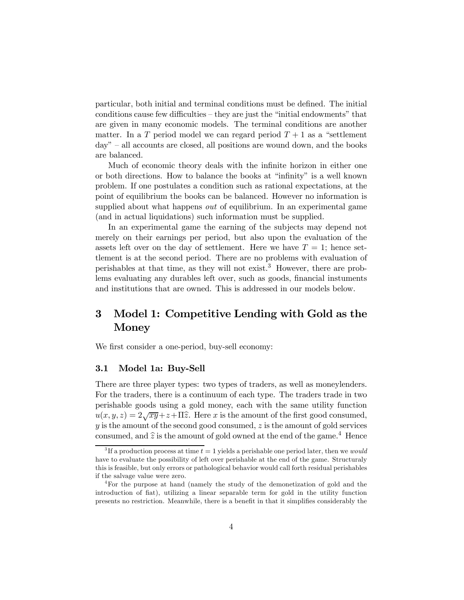particular, both initial and terminal conditions must be defined. The initial conditions cause few difficulties — they are just the "initial endowments" that are given in many economic models. The terminal conditions are another matter. In a T period model we can regard period  $T+1$  as a "settlement" day" — all accounts are closed, all positions are wound down, and the books are balanced.

Much of economic theory deals with the infinite horizon in either one or both directions. How to balance the books at "infinity" is a well known problem. If one postulates a condition such as rational expectations, at the point of equilibrium the books can be balanced. However no information is supplied about what happens *out* of equilibrium. In an experimental game (and in actual liquidations) such information must be supplied.

In an experimental game the earning of the subjects may depend not merely on their earnings per period, but also upon the evaluation of the assets left over on the day of settlement. Here we have  $T = 1$ ; hence settlement is at the second period. There are no problems with evaluation of perishables at that time, as they will not exist.<sup>3</sup> However, there are problems evaluating any durables left over, such as goods, financial instuments and institutions that are owned. This is addressed in our models below.

### 3 Model 1: Competitive Lending with Gold as the Money

We first consider a one-period, buy-sell economy:

#### 3.1 Model 1a: Buy-Sell

There are three player types: two types of traders, as well as moneylenders. For the traders, there is a continuum of each type. The traders trade in two perishable goods using a gold money, each with the same utility function  $u(x, y, z) = 2\sqrt{xy} + z + \Pi \hat{z}$ . Here x is the amount of the first good consumed,  $y$  is the amount of the second good consumed,  $z$  is the amount of gold services consumed, and  $\hat{z}$  is the amount of gold owned at the end of the game.<sup>4</sup> Hence

<sup>&</sup>lt;sup>3</sup>If a production process at time  $t = 1$  yields a perishable one period later, then we *would* have to evaluate the possibility of left over perishable at the end of the game. Structuraly this is feasible, but only errors or pathological behavior would call forth residual perishables if the salvage value were zero.

<sup>4</sup>For the purpose at hand (namely the study of the demonetization of gold and the introduction of fiat), utilizing a linear separable term for gold in the utility function presents no restriction. Meanwhile, there is a benefit in that it simplifies considerably the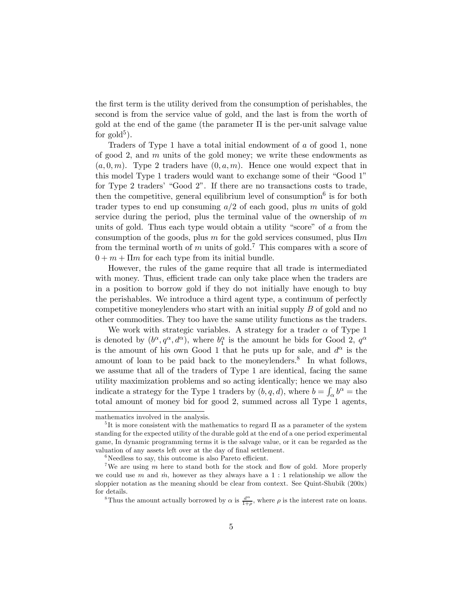the first term is the utility derived from the consumption of perishables, the second is from the service value of gold, and the last is from the worth of gold at the end of the game (the parameter  $\Pi$  is the per-unit salvage value for gold<sup>5</sup>).

Traders of Type 1 have a total initial endowment of  $a$  of good 1, none of good 2, and  $m$  units of the gold money; we write these endowments as  $(a, 0, m)$ . Type 2 traders have  $(0, a, m)$ . Hence one would expect that in this model Type 1 traders would want to exchange some of their "Good 1" for Type 2 traders' "Good 2". If there are no transactions costs to trade, then the competitive, general equilibrium level of consumption<sup>6</sup> is for both trader types to end up consuming  $a/2$  of each good, plus m units of gold service during the period, plus the terminal value of the ownership of  $m$ units of gold. Thus each type would obtain a utility "score" of  $\alpha$  from the consumption of the goods, plus  $m$  for the gold services consumed, plus  $\prod m$ from the terminal worth of  $m$  units of gold.<sup>7</sup> This compares with a score of  $0 + m + \Pi m$  for each type from its initial bundle.

However, the rules of the game require that all trade is intermediated with money. Thus, efficient trade can only take place when the traders are in a position to borrow gold if they do not initially have enough to buy the perishables. We introduce a third agent type, a continuum of perfectly competitive moneylenders who start with an initial supply  $B$  of gold and no other commodities They too have the same utility functions as the traders.

We work with strategic variables. A strategy for a trader  $\alpha$  of Type 1 is denoted by  $(b^{\alpha}, q^{\alpha}, d^{\alpha})$ , where  $b_1^{\alpha}$  is the amount he bids for Good 2,  $q^{\alpha}$ is the amount of his own Good 1 that he puts up for sale, and  $d^{\alpha}$  is the amount of loan to be paid back to the moneylenders.<sup>8</sup> In what follows, we assume that all of the traders of Type 1 are identical, facing the same utility maximization problems and so acting identically; hence we may also indicate a strategy for the Type 1 traders by  $(b, q, d)$ , where  $b = \int_{\alpha} b^{\alpha} =$  the total amount of money bid for good 2, summed across all Type 1 agents,

mathematics involved in the analysis.

<sup>&</sup>lt;sup>5</sup>It is more consistent with the mathematics to regard  $\Pi$  as a parameter of the system standing for the expected utility of the durable gold at the end of a one period experimental game, In dynamic programming terms it is the salvage value, or it can be regarded as the valuation of any assets left over at the day of final settlement.

 $6$ Needless to say, this outcome is also Pareto efficient.

<sup>&</sup>lt;sup>7</sup>We are using  $m$  here to stand both for the stock and flow of gold. More properly we could use  $m$  and  $\dot{m}$ , however as they always have a 1:1 relationship we allow the sloppier notation as the meaning should be clear from context. See Quint-Shubik (200x) for details.

<sup>&</sup>lt;sup>8</sup>Thus the amount actually borrowed by  $\alpha$  is  $\frac{d^{\alpha}}{1+\rho}$ , where  $\rho$  is the interest rate on loans.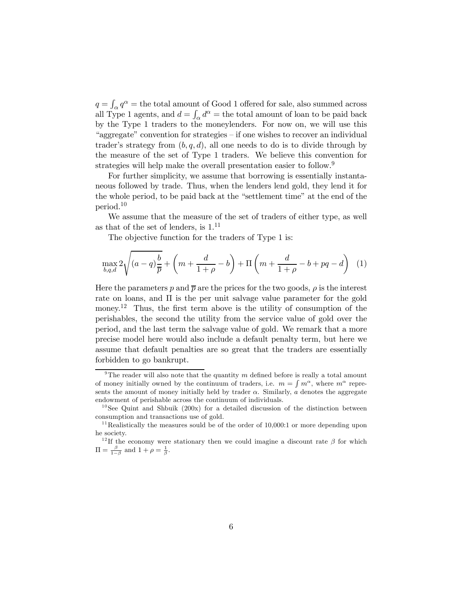$q = \int_{\alpha} q^{\alpha}$  = the total amount of Good 1 offered for sale, also summed across all Type 1 agents, and  $d = \int_{\alpha} d^{\alpha} =$  the total amount of loan to be paid back by the Type 1 traders to the moneylenders. For now on, we will use this "aggregate" convention for strategies — if one wishes to recover an individual trader's strategy from  $(b, q, d)$ , all one needs to do is to divide through by the measure of the set of Type 1 traders. We believe this convention for strategies will help make the overall presentation easier to follow.<sup>9</sup>

For further simplicity, we assume that borrowing is essentially instantaneous followed by trade. Thus, when the lenders lend gold, they lend it for the whole period, to be paid back at the "settlement time" at the end of the period.<sup>10</sup>

We assume that the measure of the set of traders of either type, as well as that of the set of lenders, is  $1.^{11}$ 

The objective function for the traders of Type 1 is:

$$
\max_{b,q,d} 2\sqrt{(a-q)\frac{b}{\overline{p}}} + \left(m + \frac{d}{1+\rho} - b\right) + \Pi\left(m + \frac{d}{1+\rho} - b + pq - d\right) \tag{1}
$$

Here the parameters p and  $\bar{p}$  are the prices for the two goods,  $\rho$  is the interest rate on loans, and Π is the per unit salvage value parameter for the gold money.<sup>12</sup> Thus, the first term above is the utility of consumption of the perishables, the second the utility from the service value of gold over the period, and the last term the salvage value of gold. We remark that a more precise model here would also include a default penalty term, but here we assume that default penalties are so great that the traders are essentially forbidden to go bankrupt.

<sup>&</sup>lt;sup>9</sup>The reader will also note that the quantity  $m$  defined before is really a total amount of money initially owned by the continuum of traders, i.e.  $m = \int m^{\alpha}$ , where  $m^{\alpha}$  represents the amount of money initially held by trader  $\alpha$ . Similarly,  $\alpha$  denotes the aggregate endowment of perishable across the continuum of individuals.

 $10$  See Quint and Shbuik (200x) for a detailed discussion of the distinction between consumption and transactions use of gold.

<sup>&</sup>lt;sup>11</sup> Realistically the measures sould be of the order of  $10,000:1$  or more depending upon he society.

<sup>&</sup>lt;sup>12</sup>If the economy were stationary then we could imagine a discount rate  $\beta$  for which  $\Pi = \frac{\beta}{1-\beta}$  and  $1+\rho = \frac{1}{\beta}$ .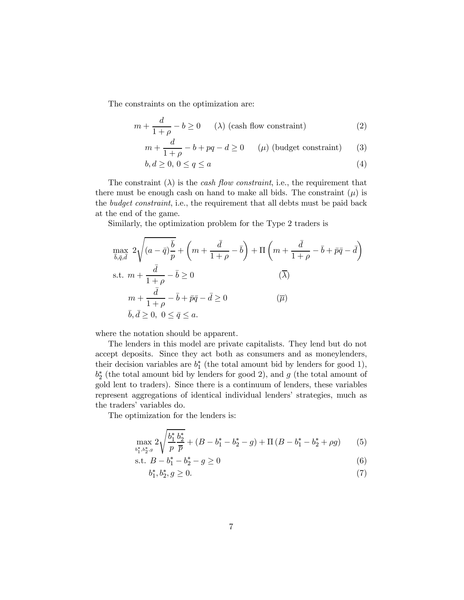The constraints on the optimization are:

$$
m + \frac{d}{1+\rho} - b \ge 0 \qquad (\lambda) \text{ (cash flow constraint)} \tag{2}
$$

$$
m + \frac{d}{1+\rho} - b + pq - d \ge 0 \qquad (\mu) \text{ (budget constraint)} \tag{3}
$$

$$
b, d \ge 0, 0 \le q \le a \tag{4}
$$

The constraint  $(\lambda)$  is the *cash flow constraint*, i.e., the requirement that there must be enough cash on hand to make all bids. The constraint  $(\mu)$  is the *budget constraint*, i.e., the requirement that all debts must be paid back at the end of the game.

Similarly, the optimization problem for the Type 2 traders is

$$
\max_{\overline{b},\overline{q},\overline{d}} 2\sqrt{(a-\overline{q})\frac{\overline{b}}{p}} + \left(m + \frac{\overline{d}}{1+\rho} - \overline{b}\right) + \Pi\left(m + \frac{\overline{d}}{1+\rho} - \overline{b} + \overline{p}\overline{q} - \overline{d}\right)
$$
\ns.t.  $m + \frac{\overline{d}}{1+\rho} - \overline{b} \ge 0$   $(\overline{\lambda})$   
\n $m + \frac{\overline{d}}{1+\rho} - \overline{b} + \overline{p}\overline{q} - \overline{d} \ge 0$   $(\overline{\mu})$   
\n $\overline{b}, \overline{d} \ge 0, 0 \le \overline{q} \le a.$ 

where the notation should be apparent.

The lenders in this model are private capitalists. They lend but do not accept deposits. Since they act both as consumers and as moneylenders, their decision variables are  $b_1^*$  (the total amount bid by lenders for good 1),  $b_2^*$  (the total amount bid by lenders for good 2), and  $g$  (the total amount of gold lent to traders). Since there is a continuum of lenders, these variables represent aggregations of identical individual lenders' strategies, much as the traders' variables do.

The optimization for the lenders is:

$$
\max_{b_1^*,b_2^*,g} 2\sqrt{\frac{b_1^*}{p}\frac{b_2^*}{\overline{p}}} + (B - b_1^* - b_2^* - g) + \Pi (B - b_1^* - b_2^* + \rho g) \tag{5}
$$

s.t. 
$$
B - b_1^* - b_2^* - g \ge 0
$$
 (6)

$$
b_1^*, b_2^*, g \ge 0. \tag{7}
$$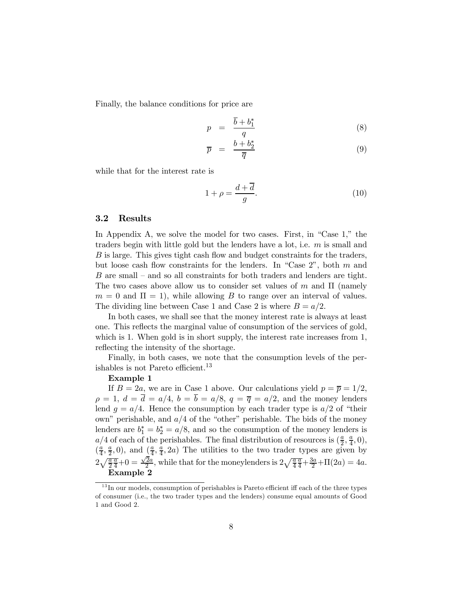Finally, the balance conditions for price are

$$
p = \frac{\overline{b} + b_1^*}{q} \tag{8}
$$

$$
\overline{p} = \frac{b + b_2^*}{\overline{q}} \tag{9}
$$

while that for the interest rate is

$$
1 + \rho = \frac{d + \overline{d}}{g}.\tag{10}
$$

#### 3.2 Results

In Appendix A, we solve the model for two cases. First, in "Case 1," the traders begin with little gold but the lenders have a lot, i.e.  $m$  is small and  $B$  is large. This gives tight cash flow and budget constraints for the traders, but loose cash flow constraints for the lenders. In "Case 2", both  $m$  and  $B$  are small – and so all constraints for both traders and lenders are tight. The two cases above allow us to consider set values of  $m$  and  $\Pi$  (namely  $m = 0$  and  $\Pi = 1$ , while allowing B to range over an interval of values. The dividing line between Case 1 and Case 2 is where  $B = a/2$ .

In both cases, we shall see that the money interest rate is always at least one. This reflects the marginal value of consumption of the services of gold, which is 1. When gold is in short supply, the interest rate increases from 1, reflecting the intensity of the shortage.

Finally, in both cases, we note that the consumption levels of the perishables is not Pareto efficient.<sup>13</sup>

#### Example 1

If  $B = 2a$ , we are in Case 1 above. Our calculations yield  $p = \overline{p} = 1/2$ ,  $\rho = 1, d = \overline{d} = a/4, b = \overline{b} = a/8, q = \overline{q} = a/2$ , and the money lenders lend  $q = a/4$ . Hence the consumption by each trader type is  $a/2$  of "their own" perishable, and  $a/4$  of the "other" perishable. The bids of the money lenders are  $b_1^* = b_2^* = a/8$ , and so the consumption of the money lenders is  $a/4$  of each of the perishables. The final distribution of resources is  $(\frac{a}{2}, \frac{a}{4}, 0)$ ,  $(\frac{a}{4}, \frac{a}{2}, 0)$ , and  $(\frac{a}{4}, \frac{a}{4}, 2a)$  The utilities to the two trader types are given by  $2\sqrt{\frac{a}{2}}$  $\frac{\overline{a}}{4}+0=\frac{\sqrt{2}a}{2}$ , while that for the moneylenders is  $2\sqrt{\frac{a}{4}}$  $\frac{\overline{a}}{4} + \frac{3a}{2} + \Pi(2a) = 4a.$ Example 2

 $13$  In our models, consumption of perishables is Pareto efficient iff each of the three types of consumer (i.e., the two trader types and the lenders) consume equal amounts of Good 1 and Good 2.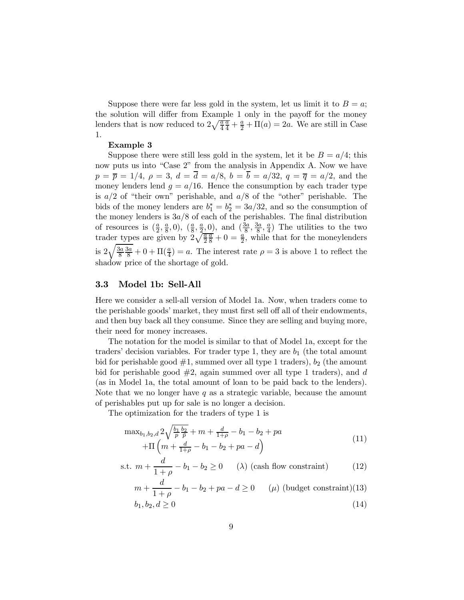Suppose there were far less gold in the system, let us limit it to  $B = a$ ; the solution will differ from Example 1 only in the payoff for the money lenders that is now reduced to  $2\sqrt{\frac{a}{4}}$  $\frac{\overline{a}}{4} + \frac{a}{2} + \Pi(a) = 2a$ . We are still in Case 1.

#### Example 3

Suppose there were still less gold in the system, let it be  $B = a/4$ ; this now puts us into "Case 2" from the analysis in Appendix A. Now we have  $p = \bar{p} = 1/4$ ,  $\rho = 3$ ,  $d = \bar{d} = a/8$ ,  $b = \bar{b} = a/32$ ,  $q = \bar{q} = a/2$ , and the money lenders lend  $g = a/16$ . Hence the consumption by each trader type is  $a/2$  of "their own" perishable, and  $a/8$  of the "other" perishable. The bids of the money lenders are  $b_1^* = b_2^* = 3a/32$ , and so the consumption of the money lenders is  $3a/8$  of each of the perishables. The final distribution of resources is  $(\frac{a}{2}, \frac{a}{8}, 0), (\frac{a}{8}, \frac{a}{2}, 0),$  and  $(\frac{3a}{8}, \frac{3a}{8}, \frac{a}{4})$  The utilities to the two trader types are given by  $2\sqrt{\frac{a}{2}}$  $\frac{\overline{a}}{8} + 0 = \frac{\overline{a}}{2}$ , while that for the moneylenders is  $2\sqrt{\frac{3a}{8}}$ 8  $\frac{3a}{8} + 0 + \Pi(\frac{a}{4}) = a$ . The interest rate  $\rho = 3$  is above 1 to reflect the shadow price of the shortage of gold.

#### 3.3 Model 1b: Sell-All

Here we consider a sell-all version of Model 1a. Now, when traders come to the perishable goods' market, they must first sell off all of their endowments, and then buy back all they consume. Since they are selling and buying more, their need for money increases.

The notation for the model is similar to that of Model 1a, except for the traders' decision variables. For trader type 1, they are  $b_1$  (the total amount bid for perishable good  $#1$ , summed over all type 1 traders),  $b_2$  (the amount bid for perishable good  $#2$ , again summed over all type 1 traders), and d (as in Model 1a, the total amount of loan to be paid back to the lenders). Note that we no longer have  $q$  as a strategic variable, because the amount of perishables put up for sale is no longer a decision.

The optimization for the traders of type 1 is

$$
\max_{b_1, b_2, d} 2\sqrt{\frac{b_1}{p} \frac{b_2}{\bar{p}}} + m + \frac{d}{1+\rho} - b_1 - b_2 + pa
$$
  
+
$$
\Pi \left( m + \frac{d}{1+\rho} - b_1 - b_2 + pa - d \right)
$$
 (11)

s.t. 
$$
m + \frac{d}{1+\rho} - b_1 - b_2 \ge 0
$$
 (1) (cash flow constraint) (12)

$$
m + \frac{d}{1+\rho} - b_1 - b_2 + pa - d \ge 0 \qquad (\mu) \text{ (budget constraint)}(13)
$$

$$
b_1, b_2, d \ge 0 \tag{14}
$$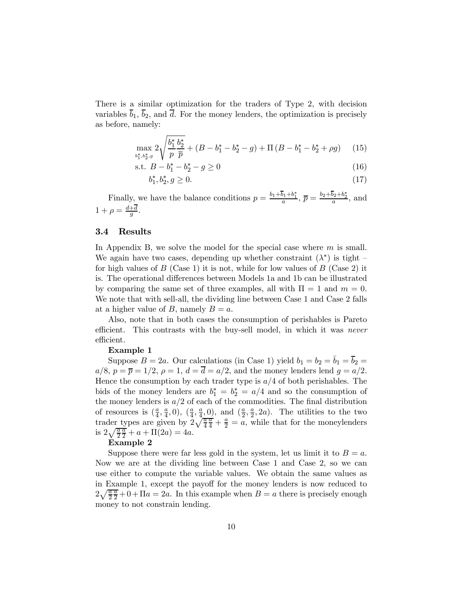There is a similar optimization for the traders of Type 2, with decision variables  $b_1$ ,  $b_2$ , and  $d$ . For the money lenders, the optimization is precisely as before, namely:

$$
\max_{b_1^*,b_2^*,g} 2\sqrt{\frac{b_1^*}{p}\frac{b_2^*}{\overline{p}}} + (B - b_1^* - b_2^* - g) + \Pi\left(B - b_1^* - b_2^* + \rho g\right) \tag{15}
$$

s.t. 
$$
B - b_1^* - b_2^* - g \ge 0
$$
 (16)

$$
b_1^*, b_2^*, g \ge 0. \tag{17}
$$

Finally, we have the balance conditions  $p = \frac{b_1 + b_1 + b_1^*}{a}$ ,  $\bar{p} = \frac{b_2 + b_2 + b_2^*}{a}$ , and  $1 + \rho = \frac{d+d}{g}.$ 

#### 3.4 Results

In Appendix B, we solve the model for the special case where  $m$  is small. We again have two cases, depending up whether constraint  $(\lambda^*)$  is tight – for high values of  $B$  (Case 1) it is not, while for low values of  $B$  (Case 2) it is. The operational differences between Models 1a and 1b can be illustrated by comparing the same set of three examples, all with  $\Pi = 1$  and  $m = 0$ . We note that with sell-all, the dividing line between Case 1 and Case 2 falls at a higher value of B, namely  $B = a$ .

Also, note that in both cases the consumption of perishables is Pareto efficient. This contrasts with the buy-sell model, in which it was never efficient.

#### Example 1

Suppose  $B = 2a$ . Our calculations (in Case 1) yield  $b_1 = b_2 = \overline{b}_1 = \overline{b}_2 =$  $a/8$ ,  $p = \overline{p} = 1/2$ ,  $\rho = 1$ ,  $d = \overline{d} = a/2$ , and the money lenders lend  $g = a/2$ . Hence the consumption by each trader type is  $a/4$  of both perishables. The bids of the money lenders are  $b_1^* = b_2^* = a/4$  and so the consumption of the money lenders is  $a/2$  of each of the commodities. The final distribution of resources is  $(\frac{a}{4}, \frac{a}{4}, 0), (\frac{a}{4}, \frac{a}{4}, 0),$  and  $(\frac{a}{2}, \frac{a}{2}, 2a)$ . The utilities to the two trader types are given by  $2\sqrt{\frac{a}{4}}$  $\frac{\overline{a}}{4} + \frac{a}{2} = a$ , while that for the moneylenders is  $2\sqrt{\frac{a}{2}}$  $\frac{\overline{a}}{2} + a + \Pi(2a) = 4a.$ 

#### Example 2

Suppose there were far less gold in the system, let us limit it to  $B = a$ . Now we are at the dividing line between Case 1 and Case 2, so we can use either to compute the variable values. We obtain the same values as in Example 1, except the payoff for the money lenders is now reduced to  $2\sqrt{\frac{a}{2}}$  $\frac{\overline{a}}{2} + 0 + \Pi a = 2a$ . In this example when  $B = a$  there is precisely enough money to not constrain lending.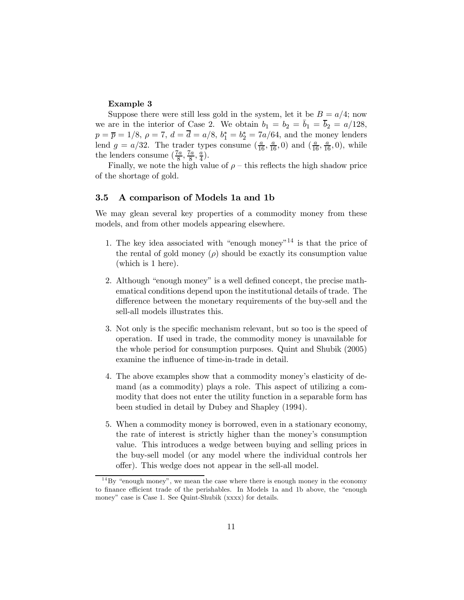#### Example 3

Suppose there were still less gold in the system, let it be  $B = a/4$ ; now we are in the interior of Case 2. We obtain  $b_1 = b_2 = \bar{b}_1 = \bar{b}_2 = a/128$ ,  $p = \bar{p} = 1/8, \, \rho = 7, \, d = d = a/8, \, b_1^* = b_2^* = 7a/64, \, \text{and the money lenders}$ lend  $g = a/32$ . The trader types consume  $(\frac{a}{16}, \frac{a}{16}, 0)$  and  $(\frac{a}{16}, \frac{a}{16}, 0)$ , while the lenders consume  $(\frac{7a}{8}, \frac{7a}{8}, \frac{a}{4})$ .

Finally, we note the high value of  $\rho$  – this reflects the high shadow price of the shortage of gold.

#### 3.5 A comparison of Models 1a and 1b

We may glean several key properties of a commodity money from these models, and from other models appearing elsewhere.

- 1. The key idea associated with "enough money"<sup>14</sup> is that the price of the rental of gold money  $(\rho)$  should be exactly its consumption value (which is 1 here).
- 2. Although "enough money" is a well defined concept, the precise mathematical conditions depend upon the institutional details of trade. The difference between the monetary requirements of the buy-sell and the sell-all models illustrates this.
- 3. Not only is the specific mechanism relevant, but so too is the speed of operation. If used in trade, the commodity money is unavailable for the whole period for consumption purposes. Quint and Shubik (2005) examine the influence of time-in-trade in detail.
- 4. The above examples show that a commodity money's elasticity of demand (as a commodity) plays a role. This aspect of utilizing a commodity that does not enter the utility function in a separable form has been studied in detail by Dubey and Shapley (1994).
- 5. When a commodity money is borrowed, even in a stationary economy, the rate of interest is strictly higher than the money's consumption value. This introduces a wedge between buying and selling prices in the buy-sell model (or any model where the individual controls her offer). This wedge does not appear in the sell-all model.

 $14\,\text{By}$  "enough money", we mean the case where there is enough money in the economy to finance efficient trade of the perishables. In Models 1a and 1b above, the "enough money" case is Case 1. See Quint-Shubik (xxxx) for details.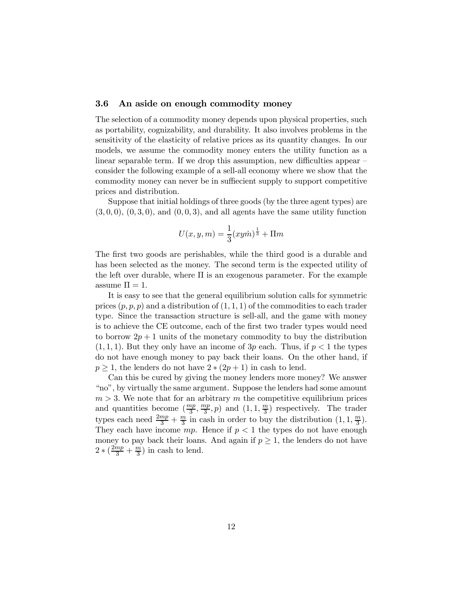#### 3.6 An aside on enough commodity money

The selection of a commodity money depends upon physical properties, such as portability, cognizability, and durability. It also involves problems in the sensitivity of the elasticity of relative prices as its quantity changes. In our models, we assume the commodity money enters the utility function as a linear separable term. If we drop this assumption, new difficulties appear – consider the following example of a sell-all economy where we show that the commodity money can never be in suffiecient supply to support competitive prices and distribution.

Suppose that initial holdings of three goods (by the three agent types) are  $(3,0,0), (0,3,0),$  and  $(0,0,3),$  and all agents have the same utility function

$$
U(x, y, m) = \frac{1}{3}(xy\dot{m})^{\frac{1}{3}} + \Pi m
$$

The first two goods are perishables, while the third good is a durable and has been selected as the money. The second term is the expected utility of the left over durable, where  $\Pi$  is an exogenous parameter. For the example assume  $\Pi = 1$ .

It is easy to see that the general equilibrium solution calls for symmetric prices  $(p, p, p)$  and a distribution of  $(1, 1, 1)$  of the commodities to each trader type. Since the transaction structure is sell-all, and the game with money is to achieve the CE outcome, each of the first two trader types would need to borrow  $2p + 1$  units of the monetary commodity to buy the distribution  $(1, 1, 1)$ . But they only have an income of 3p each. Thus, if  $p < 1$  the types do not have enough money to pay back their loans. On the other hand, if  $p \geq 1$ , the lenders do not have  $2 \times (2p + 1)$  in cash to lend.

Can this be cured by giving the money lenders more money? We answer "no", by virtually the same argument. Suppose the lenders had some amount  $m > 3$ . We note that for an arbitrary m the competitive equilibrium prices and quantities become  $(\frac{mp}{3}, \frac{mp}{3}, p)$  and  $(1, 1, \frac{m}{3})$  respectively. The trader types each need  $\frac{2mp}{3} + \frac{m}{3}$  in cash in order to buy the distribution  $(1, 1, \frac{m}{3})$ . They each have income  $mp$ . Hence if  $p < 1$  the types do not have enough money to pay back their loans. And again if  $p \geq 1$ , the lenders do not have  $2 * (\frac{2mp}{3} + \frac{m}{3})$  in cash to lend.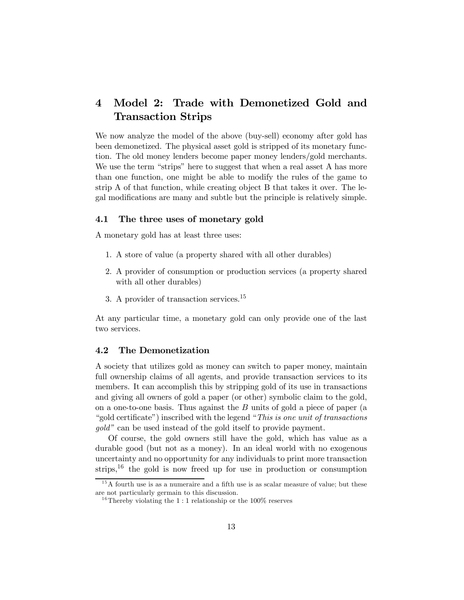### 4 Model 2: Trade with Demonetized Gold and Transaction Strips

We now analyze the model of the above (buy-sell) economy after gold has been demonetized. The physical asset gold is stripped of its monetary function. The old money lenders become paper money lenders/gold merchants. We use the term "strips" here to suggest that when a real asset A has more than one function, one might be able to modify the rules of the game to strip A of that function, while creating object B that takes it over. The legal modifications are many and subtle but the principle is relatively simple.

#### 4.1 The three uses of monetary gold

A monetary gold has at least three uses:

- 1. A store of value (a property shared with all other durables)
- 2. A provider of consumption or production services (a property shared with all other durables)
- 3. A provider of transaction services.<sup>15</sup>

At any particular time, a monetary gold can only provide one of the last two services.

#### 4.2 The Demonetization

A society that utilizes gold as money can switch to paper money, maintain full ownership claims of all agents, and provide transaction services to its members. It can accomplish this by stripping gold of its use in transactions and giving all owners of gold a paper (or other) symbolic claim to the gold, on a one-to-one basis. Thus against the  $B$  units of gold a piece of paper (a "gold certificate") inscribed with the legend "This is one unit of transactions gold" can be used instead of the gold itself to provide payment.

Of course, the gold owners still have the gold, which has value as a durable good (but not as a money). In an ideal world with no exogenous uncertainty and no opportunity for any individuals to print more transaction strips,<sup>16</sup> the gold is now freed up for use in production or consumption

 $15A$  fourth use is as a numeraire and a fifth use is as scalar measure of value; but these are not particularly germain to this discussion.

<sup>&</sup>lt;sup>16</sup>Thereby violating the 1:1 relationship or the 100% reserves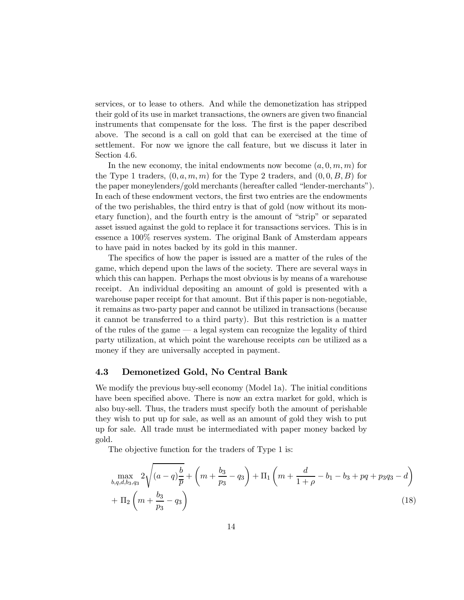services, or to lease to others. And while the demonetization has stripped their gold of its use in market transactions, the owners are given two financial instruments that compensate for the loss. The first is the paper described above. The second is a call on gold that can be exercised at the time of settlement. For now we ignore the call feature, but we discuss it later in Section 4.6.

In the new economy, the initial endowments now become  $(a, 0, m, m)$  for the Type 1 traders,  $(0, a, m, m)$  for the Type 2 traders, and  $(0, 0, B, B)$  for the paper moneylenders/gold merchants (hereafter called "lender-merchants"). In each of these endowment vectors, the first two entries are the endowments of the two perishables, the third entry is that of gold (now without its monetary function), and the fourth entry is the amount of "strip" or separated asset issued against the gold to replace it for transactions services. This is in essence a 100% reserves system. The original Bank of Amsterdam appears to have paid in notes backed by its gold in this manner.

The specifics of how the paper is issued are a matter of the rules of the game, which depend upon the laws of the society. There are several ways in which this can happen. Perhaps the most obvious is by means of a warehouse receipt. An individual depositing an amount of gold is presented with a warehouse paper receipt for that amount. But if this paper is non-negotiable, it remains as two-party paper and cannot be utilized in transactions (because it cannot be transferred to a third party). But this restriction is a matter of the rules of the game – a legal system can recognize the legality of third party utilization, at which point the warehouse receipts can be utilized as a money if they are universally accepted in payment.

#### 4.3 Demonetized Gold, No Central Bank

We modify the previous buy-sell economy (Model 1a). The initial conditions have been specified above. There is now an extra market for gold, which is also buy-sell. Thus, the traders must specify both the amount of perishable they wish to put up for sale, as well as an amount of gold they wish to put up for sale. All trade must be intermediated with paper money backed by gold.

The objective function for the traders of Type 1 is:

$$
\max_{b,q,d,b_3,q_3} 2\sqrt{(a-q)\frac{b}{\overline{p}}} + \left(m + \frac{b_3}{p_3} - q_3\right) + \Pi_1\left(m + \frac{d}{1+\rho} - b_1 - b_3 + pq + p_3q_3 - d\right) + \Pi_2\left(m + \frac{b_3}{p_3} - q_3\right)
$$
\n(18)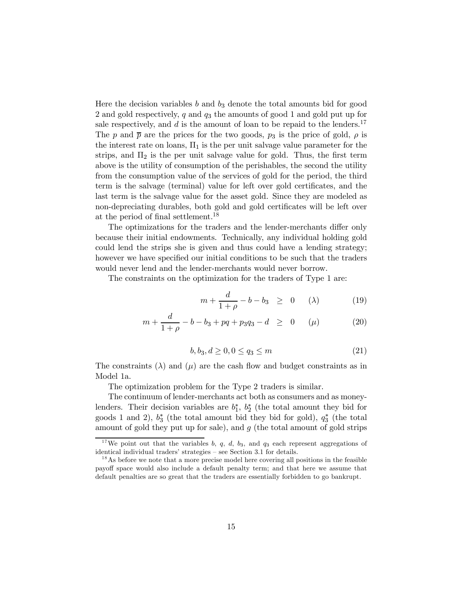Here the decision variables  $b$  and  $b_3$  denote the total amounts bid for good 2 and gold respectively, q and  $q_3$  the amounts of good 1 and gold put up for sale respectively, and  $d$  is the amount of loan to be repaid to the lenders.<sup>17</sup> The p and  $\bar{p}$  are the prices for the two goods,  $p_3$  is the price of gold,  $\rho$  is the interest rate on loans,  $\Pi_1$  is the per unit salvage value parameter for the strips, and  $\Pi_2$  is the per unit salvage value for gold. Thus, the first term above is the utility of consumption of the perishables, the second the utility from the consumption value of the services of gold for the period, the third term is the salvage (terminal) value for left over gold certificates, and the last term is the salvage value for the asset gold. Since they are modeled as non-depreciating durables, both gold and gold certificates will be left over at the period of final settlement.<sup>18</sup>

The optimizations for the traders and the lender-merchants differ only because their initial endowments. Technically, any individual holding gold could lend the strips she is given and thus could have a lending strategy; however we have specified our initial conditions to be such that the traders would never lend and the lender-merchants would never borrow.

The constraints on the optimization for the traders of Type 1 are:

$$
m + \frac{d}{1+\rho} - b - b_3 \geq 0 \quad (\lambda) \tag{19}
$$

$$
m + \frac{d}{1+\rho} - b - b_3 + pq + p_3q_3 - d \geq 0 \quad (\mu)
$$
 (20)

$$
b, b_3, d \ge 0, 0 \le q_3 \le m \tag{21}
$$

The constraints  $(\lambda)$  and  $(\mu)$  are the cash flow and budget constraints as in Model 1a.

The optimization problem for the Type 2 traders is similar.

The continuum of lender-merchants act both as consumers and as moneylenders. Their decision variables are  $b_1^*, b_2^*$  (the total amount they bid for goods 1 and 2),  $b_3^*$  (the total amount bid they bid for gold),  $q_3^*$  (the total amount of gold they put up for sale), and  $q$  (the total amount of gold strips

<sup>&</sup>lt;sup>17</sup>We point out that the variables  $b, q, d, b_3$ , and  $q_3$  each represent aggregations of identical individual traders' strategies — see Section 3.1 for details.

 $1<sup>8</sup>$ As before we note that a more precise model here covering all positions in the feasible payoff space would also include a default penalty term; and that here we assume that default penalties are so great that the traders are essentially forbidden to go bankrupt.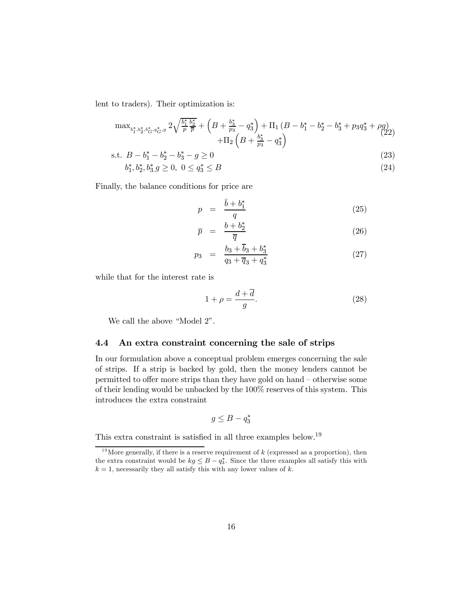lent to traders). Their optimization is:

$$
\max_{b_1^*, b_2^*, b_3^*, q_4^*, g} 2\sqrt{\frac{b_1^*}{p} \frac{b_2^*}{\overline{p}}} + \left(B + \frac{b_3^*}{p_3} - q_3^*\right) + \Pi_1\left(B - b_1^* - b_2^* - b_3^* + p_3q_3^* + \rho g\right) + \Pi_2\left(B + \frac{b_3^*}{p_3} - q_3^*\right)
$$
\n(22)

s.t. 
$$
B - b_1^* - b_2^* - b_3^* - g \ge 0
$$
 (23)  
 $b_1^* + b_2^* + b_3^* \ge 0, 0 \le a_1^* \le B$  (24)

$$
b_1^*, b_2^*, b_3^*, g \ge 0, \ 0 \le q_3^* \le B \tag{24}
$$

Finally, the balance conditions for price are

$$
p = \frac{\bar{b} + b_1^*}{q} \tag{25}
$$

$$
\overline{p} = \frac{b + b_2^*}{\overline{q}} \tag{26}
$$

$$
p_3 = \frac{b_3 + \overline{b}_3 + b_3^*}{q_3 + \overline{q}_3 + q_3^*}
$$
 (27)

while that for the interest rate is

$$
1 + \rho = \frac{d + \overline{d}}{g}.\tag{28}
$$

We call the above "Model 2".

#### 4.4 An extra constraint concerning the sale of strips

In our formulation above a conceptual problem emerges concerning the sale of strips. If a strip is backed by gold, then the money lenders cannot be permitted to offer more strips than they have gold on hand — otherwise some of their lending would be unbacked by the 100% reserves of this system. This introduces the extra constraint

$$
g \leq B - q_3^*
$$

This extra constraint is satisfied in all three examples below.19

 $19$  More generally, if there is a reserve requirement of  $k$  (expressed as a proportion), then the extra constraint would be  $kg \leq B - q_3^*$ . Since the three examples all satisfy this with  $k = 1$ , necessarily they all satisfy this with any lower values of k.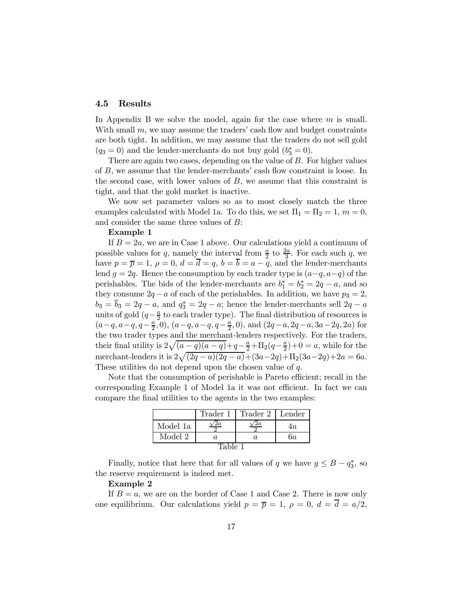#### 4.5 Results

In Appendix B we solve the model, again for the case where  $m$  is small. With small  $m$ , we may assume the traders' cash flow and budget constraints are both tight. In addition, we may assume that the traders do not sell gold  $(q_3 = 0)$  and the lender-merchants do not buy gold  $(b_3^* = 0)$ .

There are again two cases, depending on the value of  $B$ . For higher values of  $B$ , we assume that the lender-merchants' cash flow constraint is loose. In the second case, with lower values of  $B$ , we assume that this constraint is tight, and that the gold market is inactive.

We now set parameter values so as to most closely match the three examples calculated with Model 1a. To do this, we set  $\Pi_1 = \Pi_2 = 1, m = 0$ , and consider the same three values of  $B$ :

#### Example 1

If  $B = 2a$ , we are in Case 1 above. Our calculations yield a continuum of possible values for q, namely the interval from  $\frac{a}{2}$  to  $\frac{2a}{3}$ . For each such q, we have  $p = \overline{p} = 1$ ,  $\rho = 0$ ,  $d = \overline{d} = q$ ,  $b = \overline{b} = a - \overline{q}$ , and the lender-merchants lend  $g = 2q$ . Hence the consumption by each trader type is  $(a-q, a-q)$  of the perishables. The bids of the lender-merchants are  $b_1^* = b_2^* = 2q - a$ , and so they consume  $2q - a$  of each of the perishables. In addition, we have  $p_3 = 2$ ,  $b_3 = b_3 = 2q - a$ , and  $q_3^* = 2q - a$ ; hence the lender-merchants sell  $2q - a$ units of gold  $(q-\frac{a}{2})$  to each trader type). The final distribution of resources is  $(a-q, a-q, q-\frac{a}{2}, 0), (a-q, a-q, q-\frac{a}{2}, 0), \text{ and } (2q-a, 2q-a, 3a-2q, 2a) \text{ for }$ the two trader types and the merchant-lenders respectively. For the traders, their final utility is  $2\sqrt{(a-q)(a-q)+q-\frac{a}{2}}+\Pi_2(q-\frac{a}{2})+0=a$ , while for the merchant-lenders it is  $2\sqrt{(2q-a)(2q-a)} + (3a-2q) + \Pi_2(3a-2q) + 2a = 6a$ . These utilities do not depend upon the chosen value of  $q$ .

Note that the consumption of perishable is Pareto efficient; recall in the corresponding Example 1 of Model 1a it was not efficient. In fact we can compare the final utilities to the agents in the two examples:

|          | Trader 1 | Trader 2 | Lender |  |  |
|----------|----------|----------|--------|--|--|
| Model 1a |          |          |        |  |  |
| Model 2  | O.       |          | 6а     |  |  |
| Table 1  |          |          |        |  |  |

Finally, notice that here that for all values of  $q$  we have  $g \leq B - q_3^*$ , so the reserve requirement is indeed met.

#### Example 2

If  $B = a$ , we are on the border of Case 1 and Case 2. There is now only one equilibrium. Our calculations yield  $p = \overline{p} = 1$ ,  $\rho = 0$ ,  $d = \overline{d} = a/2$ ,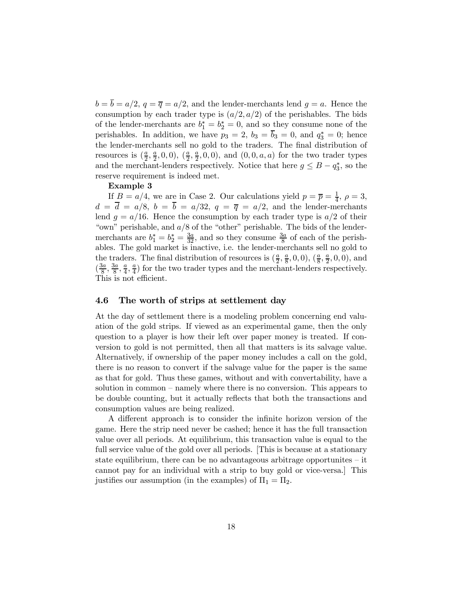$b = \overline{b} = a/2$ ,  $q = \overline{q} = a/2$ , and the lender-merchants lend  $q = a$ . Hence the consumption by each trader type is  $(a/2, a/2)$  of the perishables. The bids of the lender-merchants are  $b_1^* = b_2^* = 0$ , and so they consume none of the perishables. In addition, we have  $p_3 = 2$ ,  $b_3 = b_3 = 0$ , and  $q_3^* = 0$ ; hence the lender-merchants sell no gold to the traders. The final distribution of resources is  $(\frac{a}{2}, \frac{a}{2}, 0, 0), (\frac{a}{2}, \frac{a}{2}, 0, 0)$ , and  $(0, 0, a, a)$  for the two trader types and the merchant-lenders respectively. Notice that here  $g \leq B - q_3^*$ , so the reserve requirement is indeed met.

#### Example 3

If  $B = a/4$ , we are in Case 2. Our calculations yield  $p = \overline{p} = \frac{1}{4}$ ,  $\rho = 3$ ,  $d = d = a/8, b = b = a/32, q = \overline{q} = a/2$ , and the lender-merchants lend  $q = a/16$ . Hence the consumption by each trader type is  $a/2$  of their "own" perishable, and  $a/8$  of the "other" perishable. The bids of the lendermerchants are  $b_1^* = b_2^* = \frac{3a}{32}$ , and so they consume  $\frac{3a}{8}$  of each of the perishables. The gold market is inactive, i.e. the lender-merchants sell no gold to the traders. The final distribution of resources is  $(\frac{a}{2}, \frac{a}{8}, 0, 0), (\frac{a}{8}, \frac{a}{2}, 0, 0)$ , and  $(\frac{3a}{8}, \frac{3a}{8}, \frac{a}{4}, \frac{a}{4})$  for the two trader types and the merchant-lenders respectively. This is not efficient.

#### 4.6 The worth of strips at settlement day

At the day of settlement there is a modeling problem concerning end valuation of the gold strips. If viewed as an experimental game, then the only question to a player is how their left over paper money is treated. If conversion to gold is not permitted, then all that matters is its salvage value. Alternatively, if ownership of the paper money includes a call on the gold, there is no reason to convert if the salvage value for the paper is the same as that for gold. Thus these games, without and with convertability, have a solution in common — namely where there is no conversion. This appears to be double counting, but it actually reflects that both the transactions and consumption values are being realized.

A different approach is to consider the infinite horizon version of the game. Here the strip need never be cashed; hence it has the full transaction value over all periods. At equilibrium, this transaction value is equal to the full service value of the gold over all periods. [This is because at a stationary state equilibrium, there can be no advantageous arbitrage opportunites — it cannot pay for an individual with a strip to buy gold or vice-versa.] This justifies our assumption (in the examples) of  $\Pi_1 = \Pi_2$ .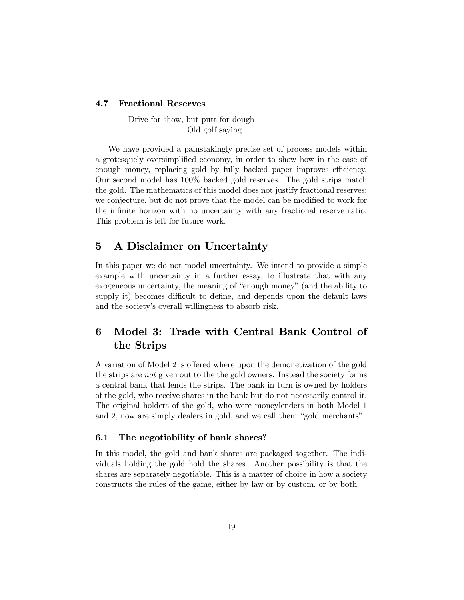#### 4.7 Fractional Reserves

Drive for show, but putt for dough Old golf saying

We have provided a painstakingly precise set of process models within a grotesquely oversimplified economy, in order to show how in the case of enough money, replacing gold by fully backed paper improves efficiency. Our second model has 100% backed gold reserves. The gold strips match the gold. The mathematics of this model does not justify fractional reserves; we conjecture, but do not prove that the model can be modified to work for the infinite horizon with no uncertainty with any fractional reserve ratio. This problem is left for future work.

### 5 A Disclaimer on Uncertainty

In this paper we do not model uncertainty. We intend to provide a simple example with uncertainty in a further essay, to illustrate that with any exogeneous uncertainty, the meaning of "enough money" (and the ability to supply it) becomes difficult to define, and depends upon the default laws and the society's overall willingness to absorb risk.

### 6 Model 3: Trade with Central Bank Control of the Strips

A variation of Model 2 is offered where upon the demonetization of the gold the strips are not given out to the the gold owners. Instead the society forms a central bank that lends the strips. The bank in turn is owned by holders of the gold, who receive shares in the bank but do not necessarily control it. The original holders of the gold, who were moneylenders in both Model 1 and 2, now are simply dealers in gold, and we call them "gold merchants".

#### 6.1 The negotiability of bank shares?

In this model, the gold and bank shares are packaged together. The individuals holding the gold hold the shares. Another possibility is that the shares are separately negotiable. This is a matter of choice in how a society constructs the rules of the game, either by law or by custom, or by both.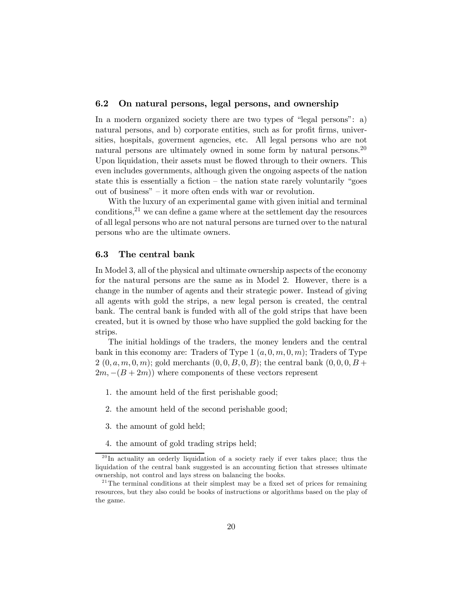#### 6.2 On natural persons, legal persons, and ownership

In a modern organized society there are two types of "legal persons": a) natural persons, and b) corporate entities, such as for profit firms, universities, hospitals, goverment agencies, etc. All legal persons who are not natural persons are ultimately owned in some form by natural persons.<sup>20</sup> Upon liquidation, their assets must be flowed through to their owners. This even includes governments, although given the ongoing aspects of the nation state this is essentially a fiction  $-$  the nation state rarely voluntarily "goes" out of business" — it more often ends with war or revolution.

With the luxury of an experimental game with given initial and terminal conditions,  $2<sup>1</sup>$  we can define a game where at the settlement day the resources of all legal persons who are not natural persons are turned over to the natural persons who are the ultimate owners.

#### 6.3 The central bank

In Model 3, all of the physical and ultimate ownership aspects of the economy for the natural persons are the same as in Model 2. However, there is a change in the number of agents and their strategic power. Instead of giving all agents with gold the strips, a new legal person is created, the central bank. The central bank is funded with all of the gold strips that have been created, but it is owned by those who have supplied the gold backing for the strips.

The initial holdings of the traders, the money lenders and the central bank in this economy are: Traders of Type 1  $(a, 0, m, 0, m)$ ; Traders of Type 2  $(0, a, m, 0, m)$ ; gold merchants  $(0, 0, B, 0, B)$ ; the central bank  $(0, 0, 0, B +$  $2m, -(B+2m)$  where components of these vectors represent

- 1. the amount held of the first perishable good;
- 2. the amount held of the second perishable good;
- 3. the amount of gold held;
- 4. the amount of gold trading strips held;

 $^{20}$ In actuality an orderly liquidation of a society raely if ever takes place; thus the liquidation of the central bank suggested is an accounting fiction that stresses ultimate ownership, not control and lays stress on balancing the books.

 $2<sup>1</sup>$ The terminal conditions at their simplest may be a fixed set of prices for remaining resources, but they also could be books of instructions or algorithms based on the play of the game.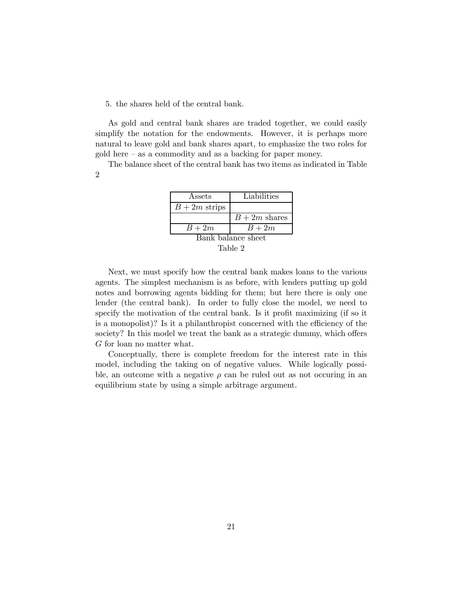5. the shares held of the central bank.

As gold and central bank shares are traded together, we could easily simplify the notation for the endowments. However, it is perhaps more natural to leave gold and bank shares apart, to emphasize the two roles for gold here — as a commodity and as a backing for paper money.

The balance sheet of the central bank has two items as indicated in Table 2

| Assets             | Liabilities   |  |
|--------------------|---------------|--|
| $B+2m$ strips      |               |  |
|                    | $B+2m$ shares |  |
| $B+2m$             | $B+2m$        |  |
| Bank balance sheet |               |  |

Table 2

Next, we must specify how the central bank makes loans to the various agents. The simplest mechanism is as before, with lenders putting up gold notes and borrowing agents bidding for them; but here there is only one lender (the central bank). In order to fully close the model, we need to specify the motivation of the central bank. Is it profit maximizing (if so it is a monopolist)? Is it a philanthropist concerned with the efficiency of the society? In this model we treat the bank as a strategic dummy, which offers G for loan no matter what.

Conceptually, there is complete freedom for the interest rate in this model, including the taking on of negative values. While logically possible, an outcome with a negative  $\rho$  can be ruled out as not occuring in an equilibrium state by using a simple arbitrage argument.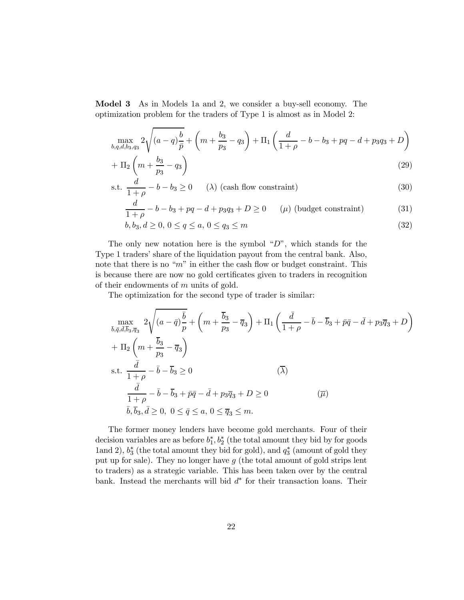Model 3 As in Models 1a and 2, we consider a buy-sell economy. The optimization problem for the traders of Type 1 is almost as in Model 2:

$$
\max_{b,q,d,b_3,q_3} 2\sqrt{(a-q)\frac{b}{\bar{p}}} + \left(m + \frac{b_3}{p_3} - q_3\right) + \Pi_1\left(\frac{d}{1+\rho} - b - b_3 + pq - d + p_3q_3 + D\right)
$$

$$
+\Pi_2\left(m+\frac{b_3}{p_3}-q_3\right) \tag{29}
$$

s.t. 
$$
\frac{d}{1+\rho} - b - b_3 \ge 0
$$
 (λ) (cash flow constraint) (30)

$$
\frac{d}{1+\rho} - b - b_3 + pq - d + p_3q_3 + D \ge 0 \qquad (\mu) \text{ (budget constraint)} \tag{31}
$$

$$
b, b_3, d \ge 0, \ 0 \le q \le a, \ 0 \le q_3 \le m \tag{32}
$$

The only new notation here is the symbol " $D$ ", which stands for the Type 1 traders' share of the liquidation payout from the central bank. Also, note that there is no " $m$ " in either the cash flow or budget constraint. This is because there are now no gold certificates given to traders in recognition of their endowments of  $m$  units of gold.

The optimization for the second type of trader is similar:

$$
\max_{\bar{b},\bar{q},\bar{d},\bar{b}_3,\bar{q}_3} 2\sqrt{(a-\bar{q})\frac{\bar{b}}{p}} + \left(m + \frac{\bar{b}_3}{p_3} - \bar{q}_3\right) + \Pi_1 \left(\frac{\bar{d}}{1+\rho} - \bar{b} - \bar{b}_3 + \bar{p}\bar{q} - \bar{d} + p_3\bar{q}_3 + D\right) \n+ \Pi_2 \left(m + \frac{\bar{b}_3}{p_3} - \bar{q}_3\right) \ns.t. \frac{\bar{d}}{1+\rho} - \bar{b} - \bar{b}_3 \ge 0 \qquad (\bar{\lambda}) \n\frac{\bar{d}}{1+\rho} - \bar{b} - \bar{b}_3 + \bar{p}\bar{q} - \bar{d} + p_3\bar{q}_3 + D \ge 0 \qquad (\bar{\mu}) \n\bar{b},\bar{b}_3,\bar{d} \ge 0, 0 \le \bar{q} \le a, 0 \le \bar{q}_3 \le m.
$$

The former money lenders have become gold merchants. Four of their decision variables are as before  $b_1^*, b_2^*$  (the total amount they bid by for goods 1and 2),  $b_3^*$  (the total amount they bid for gold), and  $q_3^*$  (amount of gold they put up for sale). They no longer have  $g$  (the total amount of gold strips lent to traders) as a strategic variable. This has been taken over by the central bank. Instead the merchants will bid  $d^*$  for their transaction loans. Their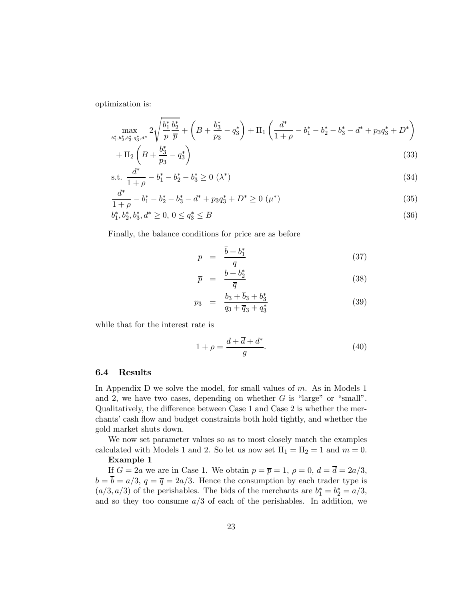optimization is:

$$
\max_{\substack{b_1^*, b_2^*, b_3^*, q_3^*, d^*}} 2\sqrt{\frac{b_1^*}{p}\frac{b_2^*}{\overline{p}}} + \left(B + \frac{b_3^*}{p_3} - q_3^*\right) + \Pi_1\left(\frac{d^*}{1+\rho} - b_1^* - b_2^* - b_3^* - d^* + p_3q_3^* + D^*\right) + \Pi_2\left(B + \frac{b_3^*}{p_3} - q_3^*\right)
$$
\n(33)

s.t. 
$$
\frac{d^*}{1+\rho} - b_1^* - b_2^* - b_3^* \ge 0 \; (\lambda^*)
$$
 (34)

$$
\frac{d^*}{1+\rho} - b_1^* - b_2^* - b_3^* - d^* + p_3 q_3^* + D^* \ge 0 \ (\mu^*)
$$
\n(35)

$$
b_1^*, b_2^*, b_3^*, d^* \ge 0, \ 0 \le q_3^* \le B \tag{36}
$$

Finally, the balance conditions for price are as before

$$
p = \frac{\bar{b} + b_1^*}{q} \tag{37}
$$

$$
\overline{p} = \frac{b + b_2^*}{\overline{q}} \tag{38}
$$

$$
p_3 = \frac{b_3 + \overline{b}_3 + b_3^*}{q_3 + \overline{q}_3 + q_3^*}
$$
 (39)

while that for the interest rate is

$$
1 + \rho = \frac{d + \overline{d} + d^*}{g}.\tag{40}
$$

#### 6.4 Results

In Appendix D we solve the model, for small values of  $m$ . As in Models 1 and 2, we have two cases, depending on whether  $G$  is "large" or "small". Qualitatively, the difference between Case 1 and Case 2 is whether the merchants' cash flow and budget constraints both hold tightly, and whether the gold market shuts down.

We now set parameter values so as to most closely match the examples calculated with Models 1 and 2. So let us now set  $\Pi_1 = \Pi_2 = 1$  and  $m = 0$ .

#### Example 1

If  $G = 2a$  we are in Case 1. We obtain  $p = \overline{p} = 1$ ,  $\rho = 0$ ,  $d = \overline{d} = 2a/3$ ,  $b = \overline{b} = a/3$ ,  $q = \overline{q} = 2a/3$ . Hence the consumption by each trader type is  $(a/3, a/3)$  of the perishables. The bids of the merchants are  $b_1^* = b_2^* = a/3$ , and so they too consume  $a/3$  of each of the perishables. In addition, we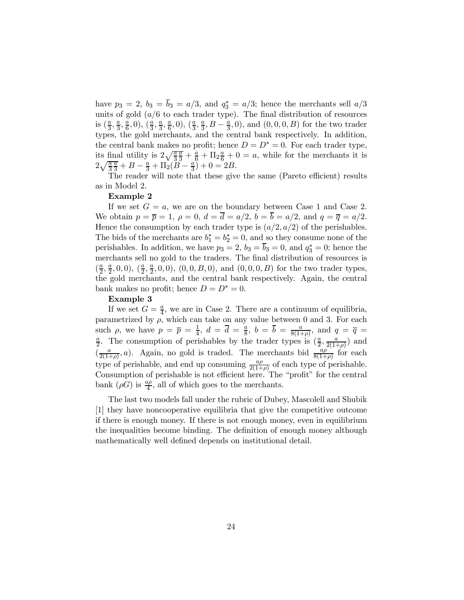have  $p_3 = 2$ ,  $b_3 = b_3 = a/3$ , and  $q_3^* = a/3$ ; hence the merchants sell  $a/3$ units of gold  $(a/6$  to each trader type). The final distribution of resources is  $(\frac{a}{3}, \frac{a}{3}, \frac{a}{6}, 0), (\frac{a}{3}, \frac{a}{3}, \frac{a}{6}, 0), (\frac{a}{3}, \frac{a}{3}, B - \frac{a}{3}, 0)$ , and  $(0, 0, 0, B)$  for the two trader types, the gold merchants, and the central bank respectively. In addition, the central bank makes no profit; hence  $D = D^* = 0$ . For each trader type, its final utility is  $2\sqrt{\frac{a}{3}}$  $\frac{\overline{a}}{3} + \frac{a}{6} + \Pi_2 \frac{a}{6} + 0 = a$ , while for the merchants it is  $2\sqrt{\frac{a}{3}}$  $\frac{\overline{a}}{3} + B - \frac{a}{3} + \Pi_2(\overline{B} - \frac{a}{3}) + 0 = 2B.$ 

The reader will note that these give the same (Pareto efficient) results as in Model 2.

#### Example 2

If we set  $G = a$ , we are on the boundary between Case 1 and Case 2. We obtain  $p = \overline{p} = 1$ ,  $\rho = 0$ ,  $d = \overline{d} = a/2$ ,  $b = \overline{b} = a/2$ , and  $q = \overline{q} = a/2$ . Hence the consumption by each trader type is  $(a/2, a/2)$  of the perishables. The bids of the merchants are  $b_1^* = b_2^* = 0$ , and so they consume none of the perishables. In addition, we have  $p_3 = 2$ ,  $b_3 = b_3 = 0$ , and  $q_3^* = 0$ ; hence the merchants sell no gold to the traders. The final distribution of resources is  $(\frac{a}{2}, \frac{a}{2}, 0, 0), (\frac{a}{2}, \frac{a}{2}, 0, 0), (0, 0, B, 0),$  and  $(0, 0, 0, B)$  for the two trader types, the gold merchants, and the central bank respectively. Again, the central bank makes no profit; hence  $D = D^* = 0$ .

#### Example 3

If we set  $G = \frac{a}{4}$ , we are in Case 2. There are a continuum of equilibria, parametrized by  $\rho$ , which can take on any value between 0 and 3. For each such  $\rho$ , we have  $p = \overline{p} = \frac{1}{4}$ ,  $d = \overline{d} = \frac{a}{8}$ ,  $b = \overline{b} = \frac{a}{8(1+\rho)}$ , and  $q = \overline{q} = \frac{a}{8}$ . The consumption of perishables by the trader types is  $\left(\frac{a}{2}, \frac{a}{2}\right)$  and  $\frac{a}{2}$ . The consumption of perishables by the trader types is  $(\frac{a}{2}, \frac{a}{2(1+\rho)})$  and  $\left(\frac{a}{2(1+\rho)},a\right)$ . Again, no gold is traded. The merchants bid  $\frac{a\rho}{8(1+\rho)}$  for each type of perishable, and end up consuming  $\frac{a\rho}{2(1+\rho)}$  of each type of perishable. Consumption of perishable is not efficient here. The "profit" for the central bank  $(\rho G)$  is  $\frac{a\rho}{4}$ , all of which goes to the merchants.

The last two models fall under the rubric of Dubey, Mascolell and Shubik [1] they have noncooperative equilibria that give the competitive outcome if there is enough money. If there is not enough money, even in equilibrium the inequalities become binding. The definition of enough money although mathematically well defined depends on institutional detail.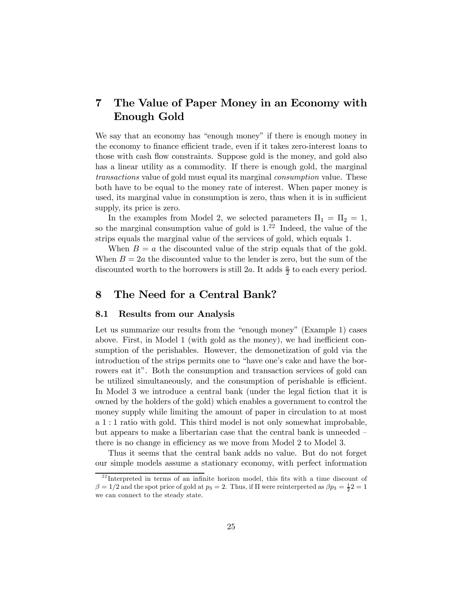### 7 The Value of Paper Money in an Economy with Enough Gold

We say that an economy has "enough money" if there is enough money in the economy to finance efficient trade, even if it takes zero-interest loans to those with cash flow constraints. Suppose gold is the money, and gold also has a linear utility as a commodity. If there is enough gold, the marginal transactions value of gold must equal its marginal consumption value. These both have to be equal to the money rate of interest. When paper money is used, its marginal value in consumption is zero, thus when it is in sufficient supply, its price is zero.

In the examples from Model 2, we selected parameters  $\Pi_1 = \Pi_2 = 1$ , so the marginal consumption value of gold is  $1.\overline{22}$  Indeed, the value of the strips equals the marginal value of the services of gold, which equals 1.

When  $B = a$  the discounted value of the strip equals that of the gold. When  $B = 2a$  the discounted value to the lender is zero, but the sum of the discounted worth to the borrowers is still 2a. It adds  $\frac{a}{2}$  to each every period.

### 8 The Need for a Central Bank?

#### 8.1 Results from our Analysis

Let us summarize our results from the "enough money" (Example 1) cases above. First, in Model 1 (with gold as the money), we had inefficient consumption of the perishables. However, the demonetization of gold via the introduction of the strips permits one to "have one's cake and have the borrowers eat it". Both the consumption and transaction services of gold can be utilized simultaneously, and the consumption of perishable is efficient. In Model 3 we introduce a central bank (under the legal fiction that it is owned by the holders of the gold) which enables a government to control the money supply while limiting the amount of paper in circulation to at most a 1:1 ratio with gold. This third model is not only somewhat improbable, but appears to make a libertarian case that the central bank is unneeded there is no change in efficiency as we move from Model 2 to Model 3.

Thus it seems that the central bank adds no value. But do not forget our simple models assume a stationary economy, with perfect information

 $2<sup>22</sup>$ Interpreted in terms of an infinite horizon model, this fits with a time discount of  $\beta = 1/2$  and the spot price of gold at  $p_3 = 2$ . Thus, if  $\Pi$  were reinterpreted as  $\beta p_3 = \frac{1}{2}2 = 1$ we can connect to the steady state.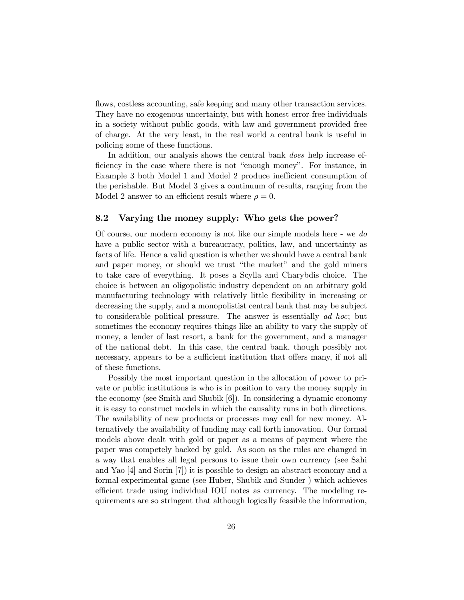flows, costless accounting, safe keeping and many other transaction services. They have no exogenous uncertainty, but with honest error-free individuals in a society without public goods, with law and government provided free of charge. At the very least, in the real world a central bank is useful in policing some of these functions.

In addition, our analysis shows the central bank *does* help increase efficiency in the case where there is not "enough money". For instance, in Example 3 both Model 1 and Model 2 produce inefficient consumption of the perishable. But Model 3 gives a continuum of results, ranging from the Model 2 answer to an efficient result where  $\rho = 0$ .

#### 8.2 Varying the money supply: Who gets the power?

Of course, our modern economy is not like our simple models here - we do have a public sector with a bureaucracy, politics, law, and uncertainty as facts of life. Hence a valid question is whether we should have a central bank and paper money, or should we trust "the market" and the gold miners to take care of everything. It poses a Scylla and Charybdis choice. The choice is between an oligopolistic industry dependent on an arbitrary gold manufacturing technology with relatively little flexibility in increasing or decreasing the supply, and a monopolistist central bank that may be subject to considerable political pressure. The answer is essentially ad hoc; but sometimes the economy requires things like an ability to vary the supply of money, a lender of last resort, a bank for the government, and a manager of the national debt. In this case, the central bank, though possibly not necessary, appears to be a sufficient institution that offers many, if not all of these functions.

Possibly the most important question in the allocation of power to private or public institutions is who is in position to vary the money supply in the economy (see Smith and Shubik [6]). In considering a dynamic economy it is easy to construct models in which the causality runs in both directions. The availability of new products or processes may call for new money. Alternatively the availability of funding may call forth innovation. Our formal models above dealt with gold or paper as a means of payment where the paper was competely backed by gold. As soon as the rules are changed in a way that enables all legal persons to issue their own currency (see Sahi and Yao [4] and Sorin [7]) it is possible to design an abstract economy and a formal experimental game (see Huber, Shubik and Sunder ) which achieves efficient trade using individual IOU notes as currency. The modeling requirements are so stringent that although logically feasible the information,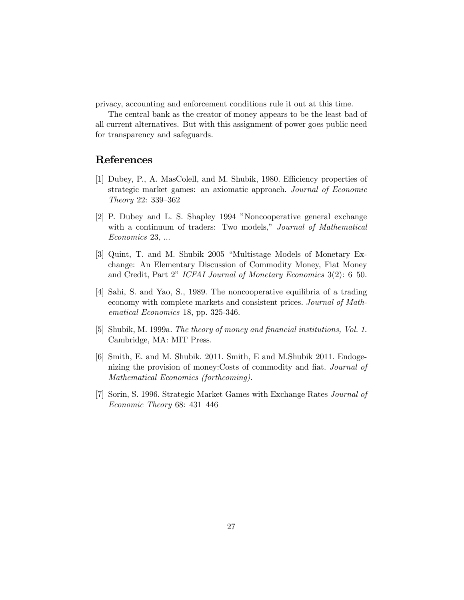privacy, accounting and enforcement conditions rule it out at this time.

The central bank as the creator of money appears to be the least bad of all current alternatives. But with this assignment of power goes public need for transparency and safeguards.

### References

- [1] Dubey, P., A. MasColell, and M. Shubik, 1980. Efficiency properties of strategic market games: an axiomatic approach. Journal of Economic Theory 22: 339—362
- [2] P. Dubey and L. S. Shapley 1994 "Noncooperative general exchange with a continuum of traders: Two models," Journal of Mathematical Economics 23, ...
- [3] Quint, T. and M. Shubik 2005 "Multistage Models of Monetary Exchange: An Elementary Discussion of Commodity Money, Fiat Money and Credit, Part 2" ICFAI Journal of Monetary Economics 3(2): 6—50.
- [4] Sahi, S. and Yao, S., 1989. The noncooperative equilibria of a trading economy with complete markets and consistent prices. Journal of Mathematical Economics 18, pp. 325-346.
- [5] Shubik, M. 1999a. The theory of money and financial institutions, Vol. 1. Cambridge, MA: MIT Press.
- [6] Smith, E. and M. Shubik. 2011. Smith, E and M.Shubik 2011. Endogenizing the provision of money:Costs of commodity and fiat. Journal of Mathematical Economics (forthcoming).
- [7] Sorin, S. 1996. Strategic Market Games with Exchange Rates Journal of Economic Theory 68: 431—446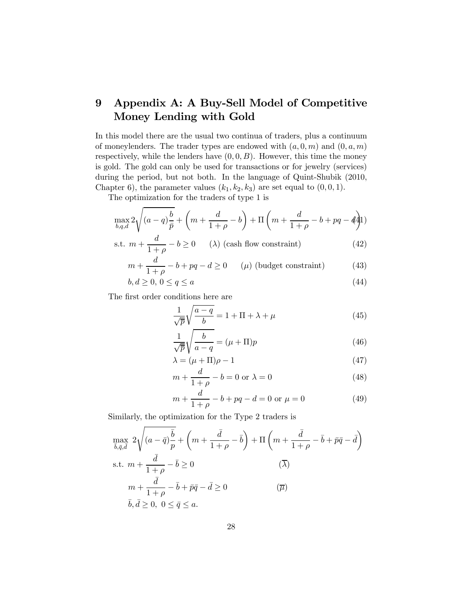# 9 Appendix A: A Buy-Sell Model of Competitive Money Lending with Gold

In this model there are the usual two continua of traders, plus a continuum of moneylenders. The trader types are endowed with  $(a, 0, m)$  and  $(0, a, m)$ respectively, while the lenders have  $(0,0,B)$ . However, this time the money is gold. The gold can only be used for transactions or for jewelry (services) during the period, but not both. In the language of Quint-Shubik (2010, Chapter 6), the parameter values  $(k_1, k_2, k_3)$  are set equal to  $(0, 0, 1)$ .

The optimization for the traders of type 1 is

$$
\max_{b,q,d} 2\sqrt{(a-q)\frac{b}{\bar{p}}} + \left(m + \frac{d}{1+\rho} - b\right) + \Pi\left(m + \frac{d}{1+\rho} - b + pq - d\right)
$$

s.t. 
$$
m + \frac{a}{1+\rho} - b \ge 0
$$
 (λ) (cash flow constraint) (42)

$$
m + \frac{d}{1+\rho} - b + pq - d \ge 0 \qquad (\mu) \text{ (budget constraint)} \tag{43}
$$

$$
b, d \ge 0, \ 0 \le q \le a \tag{44}
$$

The first order conditions here are

$$
\frac{1}{\sqrt{p}}\sqrt{\frac{a-q}{b}} = 1 + \Pi + \lambda + \mu
$$
\n(45)

$$
\frac{1}{\sqrt{\overline{p}}} \sqrt{\frac{b}{a-q}} = (\mu + \Pi)p \tag{46}
$$

$$
\lambda = (\mu + \Pi)\rho - 1\tag{47}
$$

$$
m + \frac{d}{1+\rho} - b = 0 \text{ or } \lambda = 0 \tag{48}
$$

$$
m + \frac{d}{1+\rho} - b + pq - d = 0 \text{ or } \mu = 0 \tag{49}
$$

Similarly, the optimization for the Type 2 traders is

$$
\max_{\bar{b},\bar{q},\bar{d}} 2\sqrt{(a-\bar{q})\frac{\bar{b}}{p}} + \left(m + \frac{\bar{d}}{1+\rho} - \bar{b}\right) + \Pi\left(m + \frac{\bar{d}}{1+\rho} - \bar{b} + \bar{p}\bar{q} - \bar{d}\right)
$$
\n
$$
\text{s.t. } m + \frac{\bar{d}}{1+\rho} - \bar{b} \ge 0 \qquad (\overline{\lambda})
$$
\n
$$
m + \frac{\bar{d}}{1+\rho} - \bar{b} + \bar{p}\bar{q} - \bar{d} \ge 0 \qquad (\overline{\mu})
$$
\n
$$
\bar{b},\bar{d} \ge 0, \ 0 \le \bar{q} \le a.
$$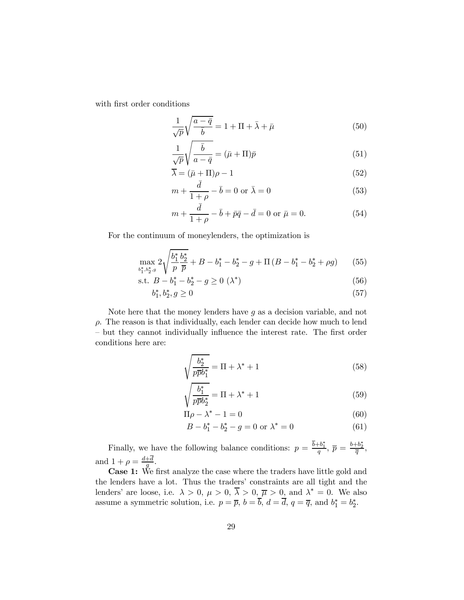with first order conditions

$$
\frac{1}{\sqrt{p}}\sqrt{\frac{a-\bar{q}}{\bar{b}}}=1+\Pi+\bar{\lambda}+\bar{\mu}
$$
\n(50)

$$
\frac{1}{\sqrt{p}}\sqrt{\frac{\bar{b}}{a-\bar{q}}} = (\bar{\mu} + \Pi)\bar{p}
$$
\n(51)

$$
\overline{\lambda} = (\bar{\mu} + \Pi)\rho - 1 \tag{52}
$$

$$
m + \frac{\bar{d}}{1+\rho} - \bar{b} = 0 \text{ or } \bar{\lambda} = 0
$$
\n
$$
(53)
$$

$$
m + \frac{\bar{d}}{1+\rho} - \bar{b} + \bar{p}\bar{q} - \bar{d} = 0 \text{ or } \bar{\mu} = 0.
$$
 (54)

For the continuum of moneylenders, the optimization is

$$
\max_{b_1^*,b_2^*,g} 2\sqrt{\frac{b_1^*}{p}\frac{b_2^*}{\overline{p}}} + B - b_1^* - b_2^* - g + \Pi\left(B - b_1^* - b_2^* + \rho g\right) \tag{55}
$$

s.t. 
$$
B - b_1^* - b_2^* - g \ge 0 \ (\lambda^*)
$$
 (56)

$$
b_1^*, b_2^*, g \ge 0 \tag{57}
$$

Note here that the money lenders have  $g$  as a decision variable, and not  $\rho$ . The reason is that individually, each lender can decide how much to lend — but they cannot individually influence the interest rate. The first order conditions here are:

$$
\sqrt{\frac{b_2^*}{p\overline{p}b_1^*}} = \Pi + \lambda^* + 1\tag{58}
$$

$$
\sqrt{\frac{b_1^*}{p\bar{p}b_2^*}} = \Pi + \lambda^* + 1\tag{59}
$$

$$
\Pi \rho - \lambda^* - 1 = 0 \tag{60}
$$

$$
B - b_1^* - b_2^* - g = 0 \text{ or } \lambda^* = 0 \tag{61}
$$

Finally, we have the following balance conditions:  $p = \frac{b+b_1^*}{q}, \bar{p} = \frac{b+b_2^*}{\bar{q}},$ and  $1 + \rho = \frac{d+d}{g}$ .

Case 1: We first analyze the case where the traders have little gold and the lenders have a lot. Thus the traders' constraints are all tight and the lenders' are loose, i.e.  $\lambda > 0$ ,  $\mu > 0$ ,  $\lambda > 0$ ,  $\overline{\mu} > 0$ , and  $\lambda^* = 0$ . We also assume a symmetric solution, i.e.  $p = \overline{p}$ ,  $b = b$ ,  $d = d$ ,  $q = \overline{q}$ , and  $b_1^* = b_2^*$ .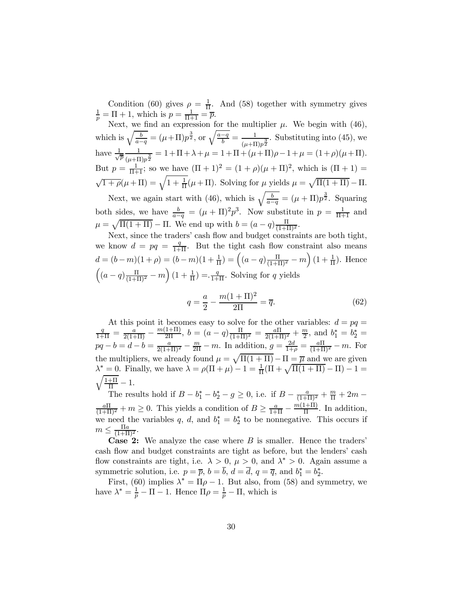Condition (60) gives  $\rho = \frac{1}{\Pi}$ . And (58) together with symmetry gives  $\frac{1}{p} = \Pi + 1$ , which is  $p = \frac{1}{\Pi + 1} = \overline{p}$ .

Next, we find an expression for the multiplier  $\mu$ . We begin with (46), which is  $\sqrt{\frac{b}{a-q}} = (\mu + \Pi)p^{\frac{3}{2}}$ , or  $\sqrt{\frac{a-q}{b}} = \frac{1}{(\mu + \Pi)p^{\frac{3}{2}}}$ . Substituting into (45), we have  $\frac{1}{\sqrt{2}}$  $\overline{\overline{p}}$ 1  $\frac{1}{(\mu+\Pi)p^{\frac{3}{2}}}=1+\Pi+\lambda+\mu=1+\Pi+(\mu+\Pi)\rho-1+\mu=(1+\rho)(\mu+\Pi).$ But  $p = \frac{1}{\Pi + 1}$ ; so we have  $(\Pi + 1)^2 = (1 + \rho)(\mu + \Pi)^2$ , which is  $(\Pi + 1) =$  $\sqrt{1+\rho}(\mu+\Pi) = \sqrt{1+\frac{1}{\Pi}}(\mu+\Pi)$ . Solving for  $\mu$  yields  $\mu = \sqrt{\Pi(1+\Pi)} - \Pi$ .

Next, we again start with (46), which is  $\sqrt{\frac{b}{a-q}} = (\mu + \Pi)p^{\frac{3}{2}}$ . Squaring both sides, we have  $\frac{b}{a-q} = (\mu + \Pi)^2 p^3$ . Now substitute in  $p = \frac{1}{\Pi + 1}$  and  $\mu = \sqrt{\Pi(1 + \Pi)} - \Pi$ . We end up with  $b = (a - q) \frac{\Pi}{(1 + \Pi)^2}$ .

Next, since the traders' cash flow and budget constraints are both tight, we know  $d = pq = \frac{q}{1+\Pi}$ . But the tight cash flow constraint also means  $d = (b-m)(1+\rho) = (b-m)(1+\frac{1}{\Pi}) = ((a-q)\frac{\Pi}{(1+\Pi)^2} - m)(1+\frac{1}{\Pi})$ . Hence  $\left( (a-q)\frac{\Pi}{(1+\Pi)^2} - m \right) (1 + \frac{1}{\Pi}) = \frac{q}{1+\Pi}$ . Solving for q yields

$$
q = \frac{a}{2} - \frac{m(1+\Pi)^2}{2\Pi} = \overline{q}.
$$
 (62)

At this point it becomes easy to solve for the other variables:  $d = pq =$ <br>  $\frac{q}{m} = \frac{m(1+H)}{m}$  $\frac{q}{1+\Pi} = \frac{a}{2(1+\Pi)} - \frac{m(1+\Pi)}{2\Pi}$ ,  $b = (a-q)\frac{\Pi}{(1+\Pi)^2} = \frac{a\Pi}{2(1+\Pi)^2} + \frac{m}{2}$ , and  $b_1^* = b_2^* =$  $pq - b = d - b = \frac{a}{2(1+\Pi)^2} - \frac{m}{2\Pi} - m$ . In addition,  $g = \frac{2d}{1+\rho} = \frac{a\Pi}{(1+\Pi)^2} - m$ . For the multipliers, we already found  $\mu = \sqrt{\Pi(1 + \Pi)} - \Pi = \overline{\mu}$  and we are given  $\lambda^* = 0$ . Finally, we have  $\lambda = \rho(\Pi + \mu) - 1 = \frac{1}{\Pi}(\Pi + \sqrt{\Pi(1 + \Pi)} - \Pi) - 1 =$  $\sqrt{\frac{1+\Pi}{\Pi}}-1.$ 

The results hold if  $B - b_1^* - b_2^* - g \ge 0$ , i.e. if  $B - \frac{a}{(1+\Pi)^2} + \frac{m}{\Pi} + 2m \frac{a\Pi}{(1+\Pi)^2} + m \ge 0$ . This yields a condition of  $B \ge \frac{a}{1+\Pi} - \frac{m(1+\Pi)}{\Pi}$ . In addition, we need the variables q, d, and  $b_1^* = b_2^*$  to be nonnegative. This occurs if  $m \leq \frac{\Pi a}{(1+\Pi)^2}.$ 

**Case 2:** We analyze the case where  $B$  is smaller. Hence the traders' cash flow and budget constraints are tight as before, but the lenders' cash flow constraints are tight, i.e.  $\lambda > 0$ ,  $\mu > 0$ , and  $\lambda^* > 0$ . Again assume a symmetric solution, i.e.  $p = \overline{p}$ ,  $b = b$ ,  $d = d$ ,  $q = \overline{q}$ , and  $b_1^* = b_2^*$ .

First, (60) implies  $\lambda^* = \Pi \rho - 1$ . But also, from (58) and symmetry, we have  $\lambda^* = \frac{1}{p} - \Pi - 1$ . Hence  $\Pi \rho = \frac{1}{p} - \Pi$ , which is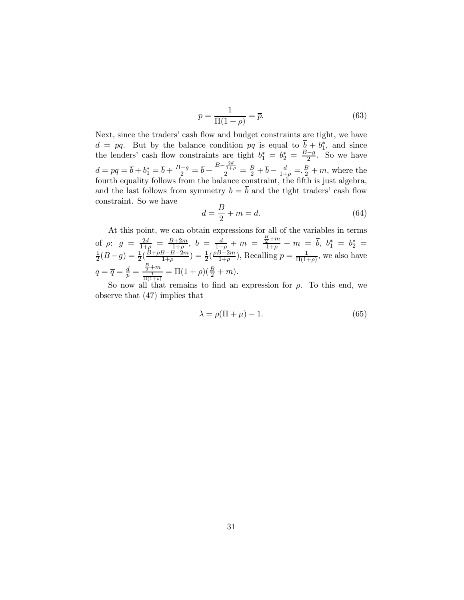$$
p = \frac{1}{\Pi(1+\rho)} = \overline{p}.\tag{63}
$$

Next, since the traders' cash flow and budget constraints are tight, we have  $d = pq$ . But by the balance condition  $pq$  is equal to  $b + b_1^*$ , and since the lenders' cash flow constraints are tight  $b_1^* = b_2^* = \frac{B-g}{2}$ . So we have  $d = pq = \overline{b} + b_1^* = \overline{b} + \frac{B-g}{2} = \overline{b} + \frac{B - \frac{2d}{1+\rho}}{2} = \frac{B}{2} + \overline{b} - \frac{d}{1+\rho} = \frac{B}{2} + m$ , where the fourth equality follows from the balance constraint, the fifth is just algebra, and the last follows from symmetry  $b = \overline{b}$  and the tight traders' cash flow constraint. So we have

$$
d = \frac{B}{2} + m = \overline{d}.\tag{64}
$$

At this point, we can obtain expressions for all of the variables in terms of  $\rho$ :  $g = \frac{2d}{1+\rho} = \frac{B+2m}{1+\rho}$ ,  $b = \frac{d}{1+\rho} + m = \frac{\frac{B}{2}+m}{1+\rho} + m = \overline{b}$ ,  $b_1^* = b_2^* =$  $\frac{1}{2}(B-g) = \frac{1}{2}(\frac{B+\rho B-B-2m}{1+\rho}) = \frac{1}{2}(\frac{\rho B-2m}{1+\rho}),$  Recalling  $p = \frac{1}{\Pi(1+\rho)},$  we also have  $q = \overline{q} = \frac{d}{p} = \frac{\frac{B}{2} + m}{\frac{1}{\Pi(1+\rho)}} = \Pi(1+\rho)(\frac{B}{2} + m).$ 

So now all that remains to find an expression for  $\rho$ . To this end, we observe that (47) implies that

$$
\lambda = \rho(\Pi + \mu) - 1. \tag{65}
$$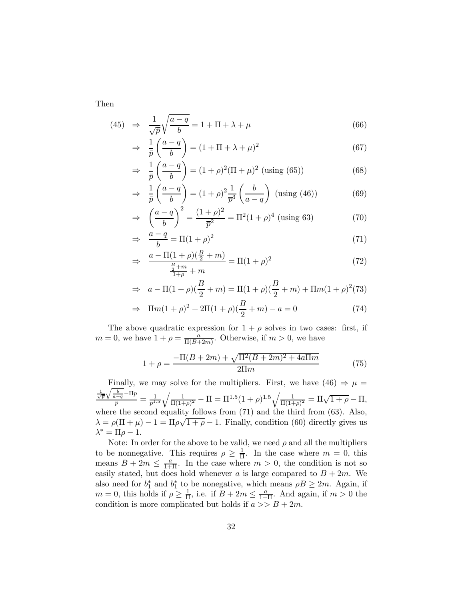Then

(45) 
$$
\Rightarrow \frac{1}{\sqrt{p}} \sqrt{\frac{a-q}{b}} = 1 + \Pi + \lambda + \mu
$$
 (66)

$$
\Rightarrow \frac{1}{\bar{p}} \left( \frac{a - q}{b} \right) = (1 + \Pi + \lambda + \mu)^2 \tag{67}
$$

$$
\Rightarrow \frac{1}{\bar{p}} \left( \frac{a - q}{b} \right) = (1 + \rho)^2 (\Pi + \mu)^2 \text{ (using (65))}
$$
 (68)

$$
\Rightarrow \frac{1}{\bar{p}} \left( \frac{a-q}{b} \right) = (1+\rho)^2 \frac{1}{\bar{p}^3} \left( \frac{b}{a-q} \right) \text{ (using (46))}
$$
(69)

$$
\Rightarrow \left(\frac{a-q}{b}\right)^2 = \frac{(1+\rho)^2}{\overline{p}^2} = \Pi^2 (1+\rho)^4 \text{ (using 63)}\tag{70}
$$

$$
\Rightarrow \frac{a-q}{b} = \Pi(1+\rho)^2 \tag{71}
$$

$$
\Rightarrow \frac{a - \Pi(1+\rho)(\frac{B}{2}+m)}{\frac{\frac{B}{2}+m}{1+\rho}+m} = \Pi(1+\rho)^2 \tag{72}
$$

$$
\Rightarrow a - \Pi(1+\rho)\left(\frac{B}{2} + m\right) = \Pi(1+\rho)\left(\frac{B}{2} + m\right) + \Pi m(1+\rho)^2(73)
$$

$$
\Rightarrow \ \Pi m(1+\rho)^2 + 2\Pi(1+\rho)(\frac{B}{2}+m) - a = 0 \tag{74}
$$

The above quadratic expression for  $1 + \rho$  solves in two cases: first, if  $m = 0$ , we have  $1 + \rho = \frac{a}{\Pi(B + 2m)}$ . Otherwise, if  $m > 0$ , we have

$$
1 + \rho = \frac{-\Pi(B + 2m) + \sqrt{\Pi^2(B + 2m)^2 + 4a\Pi m}}{2\Pi m}
$$
(75)

Finally, we may solve for the multipliers. First, we have  $(46) \Rightarrow \mu =$  $\frac{\frac{1}{\sqrt{p}}\sqrt{\frac{b}{a-q}}-\Pi p}{p}=\frac{1}{p^{1.5}}$  $\sqrt{\frac{1}{\Pi(1+\rho)^2}} - \Pi = \Pi^{1.5}(1+\rho)^{1.5}\sqrt{\frac{1}{\Pi(1+\rho)^2}} = \Pi\sqrt{1+\rho} - \Pi,$ where the second equality follows from (71) and the third from (63). Also,  $\lambda = \rho(\Pi + \mu) - 1 = \Pi \rho \sqrt{1 + \rho} - 1$ . Finally, condition (60) directly gives us  $\lambda^* = \Pi \rho - 1.$ 

Note: In order for the above to be valid, we need  $\rho$  and all the multipliers to be nonnegative. This requires  $\rho \geq \frac{1}{\Pi}$ . In the case where  $m = 0$ , this means  $B + 2m \leq \frac{a}{1+\Pi}$ . In the case where  $m > 0$ , the condition is not so easily stated, but does hold whenever a is large compared to  $B + 2m$ . We also need for  $b_1^*$  and  $b_1^*$  to be nonegative, which means  $\rho B \ge 2m$ . Again, if  $m = 0$ , this holds if  $\rho \ge \frac{1}{\Pi}$ , i.e. if  $B + 2m \le \frac{a}{1+\Pi}$ . And again, if  $m > 0$  the condition is more complicated but holds if  $a \gg B + 2m$ .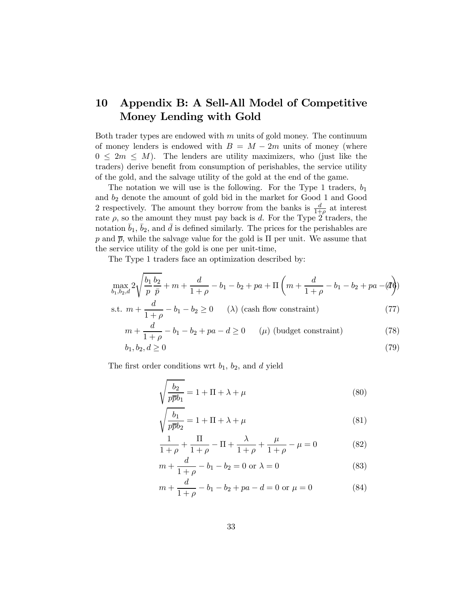# 10 Appendix B: A Sell-All Model of Competitive Money Lending with Gold

Both trader types are endowed with  $m$  units of gold money. The continuum of money lenders is endowed with  $B = M - 2m$  units of money (where  $0 \leq 2m \leq M$ ). The lenders are utility maximizers, who (just like the traders) derive benefit from consumption of perishables, the service utility of the gold, and the salvage utility of the gold at the end of the game.

The notation we will use is the following. For the Type 1 traders,  $b_1$ and  $b_2$  denote the amount of gold bid in the market for Good 1 and Good 2 respectively. The amount they borrow from the banks is  $\frac{d}{1+\rho}$  at interest rate  $\rho$ , so the amount they must pay back is d. For the Type 2 traders, the notation  $\bar{b}_1$ ,  $\bar{b}_2$ , and  $\bar{d}$  is defined similarly. The prices for the perishables are  $p$  and  $\bar{p}$ , while the salvage value for the gold is  $\Pi$  per unit. We assume that the service utility of the gold is one per unit-time,

The Type 1 traders face an optimization described by:

$$
\max_{b_1, b_2, d} 2\sqrt{\frac{b_1}{p}\frac{b_2}{\bar{p}}} + m + \frac{d}{1+\rho} - b_1 - b_2 + pa + \Pi\left(m + \frac{d}{1+\rho} - b_1 - b_2 + pa - (d)\right)
$$

s.t. 
$$
m + \frac{d}{1+\rho} - b_1 - b_2 \ge 0
$$
 (1) (cash flow constraint) (77)

$$
m + \frac{d}{1+\rho} - b_1 - b_2 + pa - d \ge 0 \qquad (\mu) \text{ (budget constraint)} \tag{78}
$$

$$
b_1, b_2, d \ge 0 \tag{79}
$$

The first order conditions wrt  $b_1$ ,  $b_2$ , and  $d$  yield

$$
\sqrt{\frac{b_2}{p\overline{p}b_1}} = 1 + \Pi + \lambda + \mu
$$
\n(80)

$$
\sqrt{\frac{b_1}{p\overline{p}b_2}} = 1 + \Pi + \lambda + \mu \tag{81}
$$

$$
\frac{1}{1+\rho} + \frac{\Pi}{1+\rho} - \Pi + \frac{\lambda}{1+\rho} + \frac{\mu}{1+\rho} - \mu = 0
$$
 (82)

$$
m + \frac{d}{1+\rho} - b_1 - b_2 = 0 \text{ or } \lambda = 0 \tag{83}
$$

$$
m + \frac{d}{1+\rho} - b_1 - b_2 + pa - d = 0 \text{ or } \mu = 0 \tag{84}
$$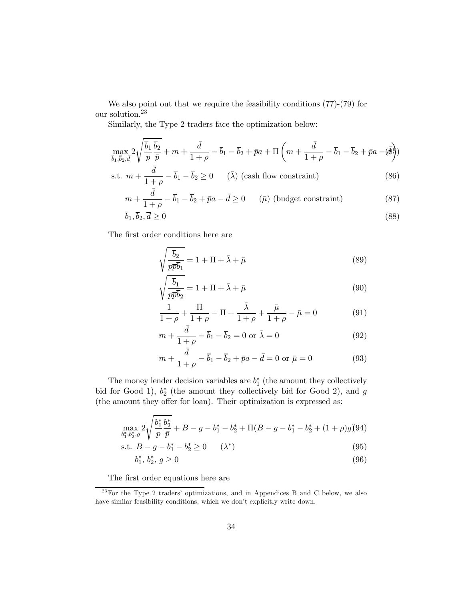We also point out that we require the feasibility conditions (77)-(79) for our solution.23

Similarly, the Type 2 traders face the optimization below:

$$
\max_{\overline{b}_1,\overline{b}_2,\overline{d}} 2\sqrt{\frac{\overline{b}_1}{p}\frac{\overline{b}_2}{\overline{p}}} + m + \frac{\overline{d}}{1+\rho} - \overline{b}_1 - \overline{b}_2 + \overline{p}a + \Pi\left(m + \frac{\overline{d}}{1+\rho} - \overline{b}_1 - \overline{b}_2 + \overline{p}a - \overline{b}\right)
$$

s.t. 
$$
m + \frac{\bar{d}}{1+\rho} - \bar{b}_1 - \bar{b}_2 \ge 0
$$
 ( $\bar{\lambda}$ ) (cash flow constraint) (86)

$$
m + \frac{\bar{d}}{1+\rho} - \bar{b}_1 - \bar{b}_2 + \bar{p}a - \bar{d} \ge 0 \qquad (\bar{\mu}) \text{ (budget constraint)} \tag{87}
$$

$$
\bar{b}_1, \bar{b}_2, \bar{d} \ge 0 \tag{88}
$$

The first order conditions here are

$$
\sqrt{\frac{\overline{b}_2}{p\overline{p}\overline{b}_1}} = 1 + \Pi + \bar{\lambda} + \bar{\mu}
$$
\n(89)

$$
\sqrt{\frac{\overline{b}_1}{p\overline{p}\overline{b}_2}} = 1 + \Pi + \overline{\lambda} + \overline{\mu}
$$
\n(90)

$$
\frac{1}{1+\rho} + \frac{\Pi}{1+\rho} - \Pi + \frac{\bar{\lambda}}{1+\rho} + \frac{\bar{\mu}}{1+\rho} - \bar{\mu} = 0
$$
 (91)

$$
m + \frac{\bar{d}}{1+\rho} - \bar{b}_1 - \bar{b}_2 = 0 \text{ or } \bar{\lambda} = 0
$$
\n(92)

$$
m + \frac{\bar{d}}{1+\rho} - \bar{b}_1 - \bar{b}_2 + \bar{p}a - \bar{d} = 0 \text{ or } \bar{\mu} = 0 \tag{93}
$$

The money lender decision variables are  $b_1^*$  (the amount they collectively bid for Good 1),  $b_2^*$  (the amount they collectively bid for Good 2), and g (the amount they offer for loan). Their optimization is expressed as:

$$
\max_{b_1^*,b_2^*,g} 2\sqrt{\frac{b_1^*}{p}\frac{b_2^*}{\bar{p}}} + B - g - b_1^* - b_2^* + \Pi(B-g-b_1^*-b_2^* + (1+\rho)g)94)
$$

s.t. 
$$
B - g - b_1^* - b_2^* \ge 0
$$
  $(\lambda^*)$  (95)

$$
b_1^*, b_2^*, g \ge 0 \tag{96}
$$

The first order equations here are

 $23$  For the Type 2 traders' optimizations, and in Appendices B and C below, we also have similar feasibility conditions, which we don't explicitly write down.  $\;$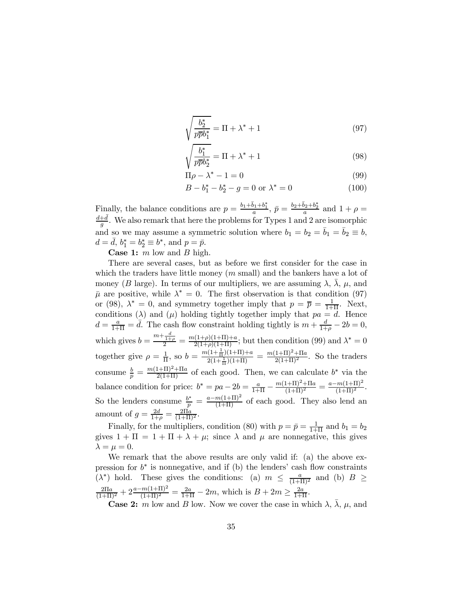$$
\sqrt{\frac{b_2^*}{p\overline{p}b_1^*}} = \Pi + \lambda^* + 1\tag{97}
$$

$$
\sqrt{\frac{b_1^*}{p\overline{p}b_2^*}} = \Pi + \lambda^* + 1\tag{98}
$$

$$
\Pi \rho - \lambda^* - 1 = 0 \tag{99}
$$

$$
B - b_1^* - b_2^* - g = 0 \text{ or } \lambda^* = 0 \tag{100}
$$

Finally, the balance conditions are  $p = \frac{b_1 + \bar{b}_1 + b_1^*}{a}$ ,  $\bar{p} = \frac{b_2 + \bar{b}_2 + b_2^*}{a}$  and  $1 + \rho =$  $\frac{d+\bar{d}}{g}$ . We also remark that here the problems for Types 1 and 2 are isomorphic and so we may assume a symmetric solution where  $b_1 = b_2 = \bar{b}_1 = \bar{b}_2 \equiv b$ ,  $d = \bar{d}, b_1^* = b_2^* \equiv b^*$ , and  $p = \bar{p}$ .

**Case 1:**  $m$  low and  $B$  high.

There are several cases, but as before we first consider for the case in which the traders have little money  $(m \text{ small})$  and the bankers have a lot of money (B large). In terms of our multipliers, we are assuming  $\lambda$ ,  $\bar{\lambda}$ ,  $\mu$ , and  $\bar{\mu}$  are positive, while  $\lambda^* = 0$ . The first observation is that condition (97) or (98),  $\lambda^* = 0$ , and symmetry together imply that  $p = \overline{p} = \frac{1}{1+\Pi}$ . Next, conditions ( $\lambda$ ) and ( $\mu$ ) holding tightly together imply that  $pa = d$ . Hence  $d = \frac{a}{1+\Pi} = \overline{d}$ . The cash flow constraint holding tightly is  $m + \frac{d}{1+\rho} - 2b = 0$ , which gives  $b = \frac{m + \frac{d}{1+\rho}}{2} = \frac{m(1+\rho)(1+\Pi)+a}{2(1+\rho)(1+\Pi)}$ ; but then condition (99) and  $\lambda^* = 0$ together give  $\rho = \frac{1}{\Pi}$ , so  $b = \frac{m(1 + \frac{1}{\Pi})(1 + \Pi) + a}{2(1 + \frac{1}{\Pi})(1 + \Pi)}$  $\frac{(1+\frac{1}{\Pi})(1+\Pi)+a}{2(1+\frac{1}{\Pi})(1+\Pi)} = \frac{m(1+\Pi)^2+\Pi a}{2(1+\Pi)^2}$ . So the traders consume  $\frac{b}{p} = \frac{m(1+\Pi)^2 + \Pi a}{2(1+\Pi)}$  of each good. Then, we can calculate  $b^*$  via the balance condition for price:  $b^* = pa - 2b = \frac{a}{1+\Pi} - \frac{m(1+\Pi)^2 + \Pi a}{(1+\Pi)^2} = \frac{a - m(1+\Pi)^2}{(1+\Pi)^2}$ . So the lenders consume  $\frac{b^*}{p} = \frac{a - m(1+\Pi)^2}{(1+\Pi)}$  of each good. They also lend an amount of  $g = \frac{2d}{1+\rho} = \frac{2\Pi a}{(1+\Pi)^2}$ .

Finally, for the multipliers, condition (80) with  $p = \bar{p} = \frac{1}{1+\Pi}$  and  $b_1 = b_2$ gives  $1 + \Pi = 1 + \Pi + \lambda + \mu$ ; since  $\lambda$  and  $\mu$  are nonnegative, this gives  $\lambda = \mu = 0.$ 

We remark that the above results are only valid if: (a) the above expression for  $b^*$  is nonnegative, and if (b) the lenders' cash flow constraints ( $\lambda^*$ ) hold. These gives the conditions: (a)  $m \leq \frac{a}{(1+\Pi)^2}$  and (b)  $B \geq$  $\frac{2\Pi a}{(1+\Pi)^2} + 2\frac{a-m(1+\Pi)^2}{(1+\Pi)^2} = \frac{2a}{1+\Pi} - 2m$ , which is  $B + 2m \ge \frac{2a}{1+\Pi}$ .

**Case 2:** m low and B low. Now we cover the case in which  $\lambda$ ,  $\bar{\lambda}$ ,  $\mu$ , and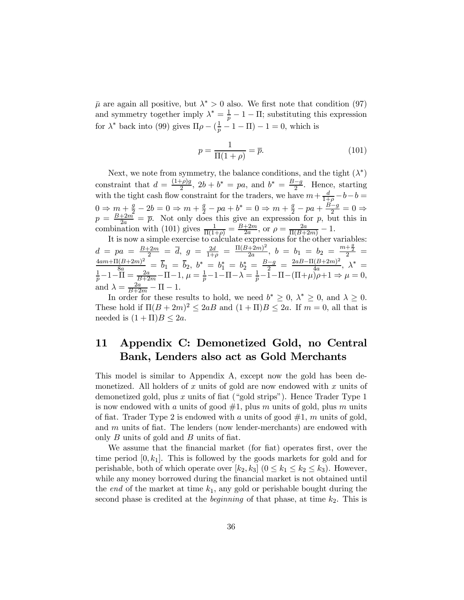$\bar{\mu}$  are again all positive, but  $\lambda^* > 0$  also. We first note that condition (97) and symmetry together imply  $\lambda^* = \frac{1}{p} - 1 - \Pi$ ; substituting this expression for  $\lambda^*$  back into (99) gives  $\Pi \rho - (\frac{1}{p} - 1 - \Pi) - 1 = 0$ , which is

$$
p = \frac{1}{\Pi(1+\rho)} = \overline{p}.\tag{101}
$$

Next, we note from symmetry, the balance conditions, and the tight  $(\lambda^*)$ constraint that  $d = \frac{(1+\rho)g}{2}$ ,  $2b + b^* = pa$ , and  $b^* = \frac{B-g}{2}$ . Hence, starting with the tight cash flow constraint for the traders, we have  $m + \frac{d}{1+\rho} - b - b =$  $0 \Rightarrow m + \frac{g}{2} - 2b = 0 \Rightarrow m + \frac{g}{2} - pa + b^* = 0 \Rightarrow m + \frac{g}{2} - pa + \frac{B-g}{2} = 0 \Rightarrow$  $p = \frac{B+2m}{2a} = \overline{p}$ . Not only does this give an expression for p, but this in combination with (101) gives  $\frac{1}{\Pi(1+\rho)} = \frac{B+2m}{2a}$ , or  $\rho = \frac{2a}{\Pi(B+2m)} - 1$ .

It is now a simple exercise to calculate expressions for the other variables:  $d \; = \; pa \; = \; \frac{B+2m}{2} \; = \; \overline{d}, \; g \; = \; \frac{2d}{1+\rho} \; = \; \frac{\Pi(B+2m)^2}{2a}, \; b \; = \; b_1 \; = \; b_2 \; = \; \frac{m+\frac{g}{2}}{2} \; = \;$  $\frac{4am+\Pi(B+2m)^2}{8a} = \bar{b}_1 = \bar{b}_2, b^* = b_1^* = b_2^* = \frac{B-g}{2} = \frac{2aB-\Pi(B+2m)^2}{4a}, \lambda^* = \frac{1}{2} - 1 - \Pi = \frac{2a}{1-a} - \Pi = 1, \mu = \frac{1}{2} - 1 - \Pi = \lambda = \frac{1}{2} - 1 - \Pi = (\Pi + \mu) \geq 1 \Rightarrow \mu = 0$  $\frac{1}{p} - 1 - \overline{\Pi} = \frac{2a}{B+2m} - \Pi - 1, \ \mu = \frac{1}{p} - 1 - \Pi - \lambda = \frac{1}{p} - \overline{1} - \Pi - (\Pi + \mu)\overline{\rho} + 1 \Rightarrow \mu = 0,$ and  $\lambda = \frac{2a}{B+2m} - \Pi - 1$ .

In order for these results to hold, we need  $b^* \geq 0$ ,  $\lambda^* \geq 0$ , and  $\lambda \geq 0$ . These hold if  $\Pi (B + 2m)^2 \leq 2aB$  and  $(1 + \Pi)B \leq 2a$ . If  $m = 0$ , all that is needed is  $(1 + \Pi)B \leq 2a$ .

### 11 Appendix C: Demonetized Gold, no Central Bank, Lenders also act as Gold Merchants

This model is similar to Appendix A, except now the gold has been demonetized. All holders of  $x$  units of gold are now endowed with  $x$  units of demonetized gold, plus  $x$  units of fiat ("gold strips"). Hence Trader Type 1 is now endowed with a units of good  $#1$ , plus m units of gold, plus m units of fiat. Trader Type 2 is endowed with a units of good  $\#1$ , m units of gold, and  $m$  units of fiat. The lenders (now lender-merchants) are endowed with only  $B$  units of gold and  $B$  units of fiat.

We assume that the financial market (for fiat) operates first, over the time period  $[0, k_1]$ . This is followed by the goods markets for gold and for perishable, both of which operate over  $[k_2, k_3]$   $(0 \leq k_1 \leq k_2 \leq k_3)$ . However, while any money borrowed during the financial market is not obtained until the end of the market at time  $k_1$ , any gold or perishable bought during the second phase is credited at the *beginning* of that phase, at time  $k_2$ . This is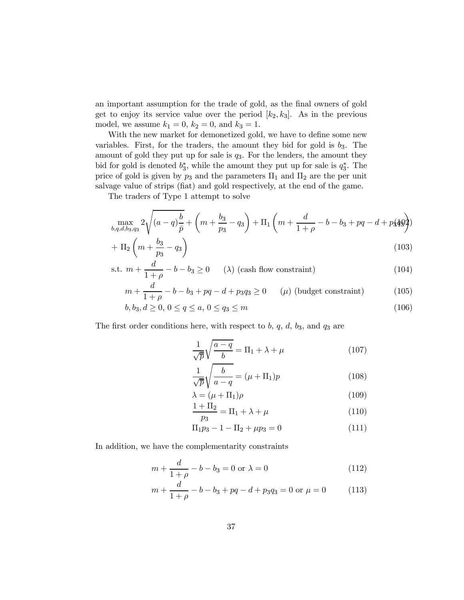an important assumption for the trade of gold, as the final owners of gold get to enjoy its service value over the period  $[k_2, k_3]$ . As in the previous model, we assume  $k_1 = 0$ ,  $k_2 = 0$ , and  $k_3 = 1$ .

With the new market for demonetized gold, we have to define some new variables. First, for the traders, the amount they bid for gold is  $b_3$ . The amount of gold they put up for sale is  $q_3$ . For the lenders, the amount they bid for gold is denoted  $b_3^*$ , while the amount they put up for sale is  $q_3^*$ . The price of gold is given by  $p_3$  and the parameters  $\Pi_1$  and  $\Pi_2$  are the per unit salvage value of strips (fiat) and gold respectively, at the end of the game.

The traders of Type 1 attempt to solve

$$
\max_{b,q,d,b_3,q_3} 2\sqrt{(a-q)\frac{b}{\bar{p}}} + \left(m + \frac{b_3}{p_3} - q_3\right) + \Pi_1\left(m + \frac{d}{1+\rho} - b - b_3 + pq - d + p_3\right)
$$

$$
+\Pi_2\left(m+\frac{b_3}{p_3}-q_3\right) \tag{103}
$$

s.t. 
$$
m + \frac{d}{1+\rho} - b - b_3 \ge 0
$$
 (104) (cash flow constraint) (104)

$$
m + \frac{d}{1+\rho} - b - b_3 + pq - d + p_3q_3 \ge 0 \qquad (\mu) \text{ (budget constraint)} \tag{105}
$$

$$
b, b_3, d \ge 0, 0 \le q \le a, 0 \le q_3 \le m \tag{106}
$$

The first order conditions here, with respect to  $b, q, d, b_3$ , and  $q_3$  are

$$
\frac{1}{\sqrt{\overline{p}}} \sqrt{\frac{a-q}{b}} = \Pi_1 + \lambda + \mu \tag{107}
$$

$$
\frac{1}{\sqrt{p}}\sqrt{\frac{b}{a-q}} = (\mu + \Pi_1)p
$$
\n(108)

$$
\lambda = (\mu + \Pi_1)\rho \tag{109}
$$

$$
\frac{1+\Pi_2}{p_3} = \Pi_1 + \lambda + \mu \tag{110}
$$

$$
\Pi_1 p_3 - 1 - \Pi_2 + \mu p_3 = 0 \tag{111}
$$

In addition, we have the complementarity constraints

$$
m + \frac{d}{1+\rho} - b - b_3 = 0 \text{ or } \lambda = 0 \tag{112}
$$

$$
m + \frac{d}{1+\rho} - b - b_3 + pq - d + p_3 q_3 = 0 \text{ or } \mu = 0 \tag{113}
$$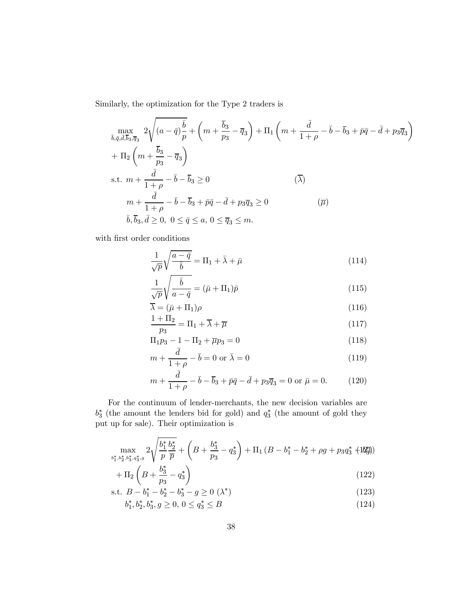Similarly, the optimization for the Type 2 traders is

$$
\max_{\bar{b},\bar{q},\bar{d},\bar{b}_3,\bar{q}_3} 2\sqrt{(a-\bar{q})\frac{\bar{b}}{p}} + \left(m + \frac{\bar{b}_3}{p_3} - \bar{q}_3\right) + \Pi_1\left(m + \frac{\bar{d}}{1+\rho} - \bar{b} - \bar{b}_3 + \bar{p}\bar{q} - \bar{d} + p_3\bar{q}_3\right) \n+ \Pi_2\left(m + \frac{\bar{b}_3}{p_3} - \bar{q}_3\right) \ns.t.  $m + \frac{\bar{d}}{1+\rho} - \bar{b} - \bar{b}_3 \ge 0$   $(\bar{\lambda})$ \n  
\n $m + \frac{\bar{d}}{1+\rho} - \bar{b} - \bar{b}_3 + \bar{p}\bar{q} - \bar{d} + p_3\bar{q}_3 \ge 0$   $(\bar{\mu})$ \n  
\n $\bar{b},\bar{b}_3,\bar{d} \ge 0, 0 \le \bar{q} \le a, 0 \le \bar{q}_3 \le m.$
$$

with first order conditions

$$
\frac{1}{\sqrt{p}}\sqrt{\frac{a-\bar{q}}{\bar{b}}} = \Pi_1 + \bar{\lambda} + \bar{\mu}
$$
\n(114)

$$
\frac{1}{\sqrt{p}}\sqrt{\frac{\bar{b}}{a-\bar{q}}} = (\bar{\mu} + \Pi_1)\bar{p}
$$
\n(115)

$$
\overline{\lambda} = (\bar{\mu} + \Pi_1)\rho \tag{116}
$$

$$
\frac{1+\Pi_2}{p_3} = \Pi_1 + \overline{\lambda} + \overline{\mu}
$$
\n(117)

$$
\Pi_1 p_3 - 1 - \Pi_2 + \overline{\mu} p_3 = 0 \tag{118}
$$

$$
m + \frac{\bar{d}}{1+\rho} - \bar{b} = 0 \text{ or } \bar{\lambda} = 0 \tag{119}
$$

$$
m + \frac{\bar{d}}{1+\rho} - \bar{b} - \bar{b}_3 + \bar{p}\bar{q} - \bar{d} + p_3\bar{q}_3 = 0 \text{ or } \bar{\mu} = 0.
$$
 (120)

For the continuum of lender-merchants, the new decision variables are  $b_3^*$  (the amount the lenders bid for gold) and  $q_3^*$  (the amount of gold they put up for sale). Their optimization is

$$
\max_{b_1^*, b_2^*, b_3^*, q_3^*, g} 2\sqrt{\frac{b_1^*}{p} \frac{b_2^*}{\overline{p}}} + \left(B + \frac{b_3^*}{p_3} - q_3^*\right) + \Pi_1\left(B - b_1^* - b_2^* + \rho g + p_3 q_3^*\right)
$$
\n
$$
+ \Pi_1\left(B + \frac{b_3^*}{p_3} - 1\right) \tag{129}
$$

$$
+\Pi_2 \left( B + \frac{b_3^2}{p_3} - q_3^* \right) \tag{122}
$$

s.t. 
$$
B - b_1^* - b_2^* - b_3^* - g \ge 0
$$
 ( $\lambda^*$ ) (123)

$$
b_1^*, b_2^*, b_3^*, g \ge 0, \ 0 \le q_3^* \le B \tag{124}
$$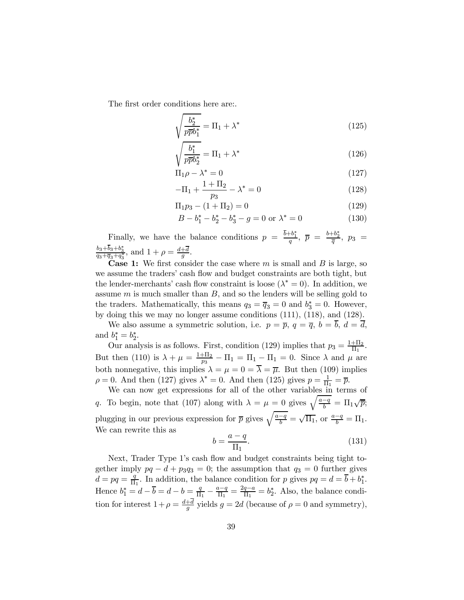The first order conditions here are:.

$$
\sqrt{\frac{b_2^*}{p\bar{p}b_1^*}} = \Pi_1 + \lambda^* \tag{125}
$$

$$
\sqrt{\frac{b_1^*}{p\overline{p}b_2^*}} = \Pi_1 + \lambda^* \tag{126}
$$

$$
\Pi_1 \rho - \lambda^* = 0 \tag{127}
$$

$$
-\Pi_1 + \frac{1 + \Pi_2}{p_3} - \lambda^* = 0
$$
\n(128)

$$
\Pi_1 p_3 - (1 + \Pi_2) = 0 \tag{129}
$$

$$
B - b_1^* - b_2^* - b_3^* - g = 0 \text{ or } \lambda^* = 0 \tag{130}
$$

Finally, we have the balance conditions  $p = \frac{b+b_1^*}{q}$ ,  $\overline{p} = \frac{b+b_2^*}{\overline{q}}$ ,  $p_3 =$  $\frac{b_3+b_3+b_3^*}{q_3+\overline{q}_3+q_3^*}$ , and  $1+\rho=\frac{d+\overline{d}}{g}$ .

**Case 1:** We first consider the case where  $m$  is small and  $B$  is large, so we assume the traders' cash flow and budget constraints are both tight, but the lender-merchants' cash flow constraint is loose  $(\lambda^* = 0)$ . In addition, we assume  $m$  is much smaller than  $B$ , and so the lenders will be selling gold to the traders. Mathematically, this means  $q_3 = \overline{q}_3 = 0$  and  $b_3^* = 0$ . However, by doing this we may no longer assume conditions (111), (118), and (128).

We also assume a symmetric solution, i.e.  $p = \overline{p}$ ,  $q = \overline{q}$ ,  $b = \overline{b}$ ,  $d = \overline{d}$ , and  $b_1^* = b_2^*$ .

Our analysis is as follows. First, condition (129) implies that  $p_3 = \frac{1 + \Pi_2}{\Pi_1}$ . But then (110) is  $\lambda + \mu = \frac{1+\Pi_2}{p_3} - \Pi_1 = \Pi_1 - \Pi_1 = 0$ . Since  $\lambda$  and  $\mu$  are both nonnegative, this implies  $\lambda = \mu = 0 = \overline{\lambda} = \overline{\mu}$ . But then (109) implies  $\rho = 0$ . And then (127) gives  $\lambda^* = 0$ . And then (125) gives  $p = \frac{1}{\Pi_1} = \overline{p}$ .

We can now get expressions for all of the other variables in terms of q. To begin, note that (107) along with  $\lambda = \mu = 0$  gives  $\sqrt{\frac{a-q}{b}} = \Pi_1 \sqrt{\overline{p}}$ ; plugging in our previous expression for  $\bar{p}$  gives  $\sqrt{\frac{a-q}{b}} = \sqrt{\Pi_1}$ , or  $\frac{a-q}{b} = \Pi_1$ . We can rewrite this as

$$
b = \frac{a - q}{\Pi_1}.\tag{131}
$$

Next, Trader Type 1's cash flow and budget constraints being tight together imply  $pq - d + p_3 q_3 = 0$ ; the assumption that  $q_3 = 0$  further gives  $d = pq = \frac{q}{\Pi_1}$ . In addition, the balance condition for p gives  $pq = d = \overline{b} + b_1^*$ . Hence  $b_1^* = d - \overline{b} = d - b = \frac{q}{\Pi_1} - \frac{a-q}{\Pi_1} = \frac{2q-a}{\Pi_1} = b_2^*$ . Also, the balance condition for interest  $1 + \rho = \frac{d+d}{g}$  yields  $g = 2d$  (because of  $\rho = 0$  and symmetry),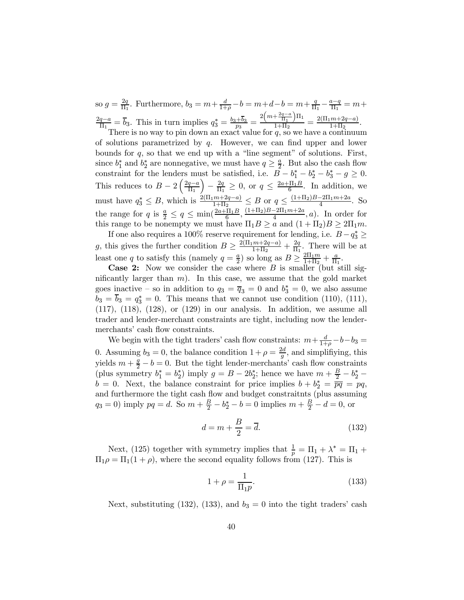so  $g = \frac{2q}{\Pi_1}$ . Furthermore,  $b_3 = m + \frac{d}{1+\rho} - b = m + d - b = m + \frac{q}{\Pi_1} - \frac{a-q}{\Pi_1} = m +$  $\frac{2q-a}{\Pi_1} = \overline{b}_3$ . This in turn implies  $q_3^* = \frac{b_3 + \overline{b}_3}{p_3} = \frac{2\left(m + \frac{2q-a}{\Pi_1}\right)}{1 + \Pi_2}$  $\frac{+ \frac{2q-a}{\Pi_1} \right) \Pi_1}{1 + \Pi_2} = \frac{2(\Pi_1 m + 2q - a)}{1 + \Pi_2}.$ 

There is no way to pin down an exact value for  $q$ , so we have a continuum of solutions parametrized by  $q$ . However, we can find upper and lower bounds for  $q$ , so that we end up with a "line segment" of solutions. First, since  $b_1^*$  and  $b_2^*$  are nonnegative, we must have  $q \geq \frac{a}{2}$ . But also the cash flow constraint for the lenders must be satisfied, i.e.  $B - b_1^* - b_2^* - b_3^* - g \ge 0$ . This reduces to  $B - 2\left(\frac{2q-a}{\Pi_1}\right)$  $\left(-\frac{2q}{\Pi_1}\geq 0\right)$ , or  $q\leq \frac{2a+\Pi_1B}{6}$ . In addition, we must have  $q_3^* \leq B$ , which is  $\frac{2(\Pi_1 m + 2q - a)}{1 + \Pi_2} \leq B$  or  $q \leq \frac{(1 + \Pi_2)B - 2\Pi_1 m + 2a}{4}$ . So the range for  $q$  is  $\frac{a}{2} \leq q \leq \min(\frac{2a+\Pi_1B}{6}, \frac{(1+\Pi_2)B-2\Pi_1m+2a}{4}, a)$ . In order for this range to be nonempty we must have  $\Pi_1 B \ge a$  and  $(1 + \Pi_2) B \ge 2\Pi_1 m$ .

If one also requires a 100% reserve requirement for lending, i.e.  $B-q_3^* \geq$  $3 \leq$ g, this gives the further condition  $B \geq \frac{2(\Pi_1 m + 2q - a)}{1 + \Pi_2} + \frac{2q}{\Pi_1}$ . There will be at least one q to satisfy this (namely  $q = \frac{a}{2}$ ) so long as  $B \ge \frac{2\Pi_1 m}{1 + \Pi_2} + \frac{a}{\Pi_1}$ .

**Case 2:** Now we consider the case where  $B$  is smaller (but still significantly larger than  $m$ ). In this case, we assume that the gold market goes inactive – so in addition to  $q_3 = \overline{q}_3 = 0$  and  $b_3^* = 0$ , we also assume  $b_3 = b_3 = q_3^* = 0$ . This means that we cannot use condition (110), (111),  $(117)$ ,  $(118)$ ,  $(128)$ , or  $(129)$  in our analysis. In addition, we assume all trader and lender-merchant constraints are tight, including now the lendermerchants' cash flow constraints.

We begin with the tight traders' cash flow constraints:  $m + \frac{d}{1+\rho} - b - b_3 =$ 0. Assuming  $b_3 = 0$ , the balance condition  $1 + \rho = \frac{2d}{g}$ , and simplifiying, this yields  $m + \frac{g}{2} - b = 0$ . But the tight lender-merchants' cash flow constraints (plus symmetry  $b_1^* = b_2^*$ ) imply  $g = B - 2b_2^*$ ; hence we have  $m + \frac{B}{2} - b_2^*$  –  $b = 0$ . Next, the balance constraint for price implies  $b + b_2^* = \overline{pq} = pq$ , and furthermore the tight cash flow and budget constraitnts (plus assuming  $q_3 = 0$ ) imply  $pq = d$ . So  $m + \frac{B}{2} - b_2^* - b = 0$  implies  $m + \frac{B}{2} - d = 0$ , or

$$
d = m + \frac{B}{2} = \overline{d}.\tag{132}
$$

Next, (125) together with symmetry implies that  $\frac{1}{p} = \Pi_1 + \lambda^* = \Pi_1 +$  $\Pi_1 \rho = \Pi_1(1 + \rho)$ , where the second equality follows from (127). This is

$$
1 + \rho = \frac{1}{\Pi_1 p}.\tag{133}
$$

Next, substituting (132), (133), and  $b_3 = 0$  into the tight traders' cash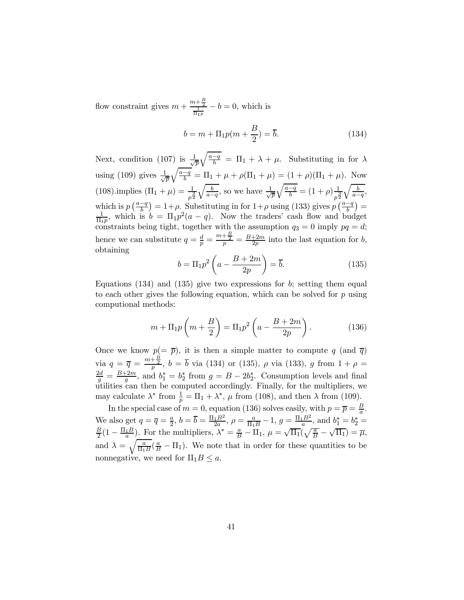flow constraint gives  $m + \frac{m + \frac{B}{2}}{1}$  $\frac{b+\frac{b}{2}}{\frac{1}{\Pi_1 p}}-b=0$ , which is

$$
b = m + \Pi_1 p(m + \frac{B}{2}) = \overline{b}.\tag{134}
$$

Next, condition (107) is  $\frac{1}{\sqrt{2}}$  $\frac{1}{\overline{p}}\sqrt{\frac{a-q}{b}} = \Pi_1 + \lambda + \mu$ . Substituting in for  $\lambda$ using (109) gives  $\frac{1}{\sqrt{2}}$  $\frac{1}{\sqrt{p}}\sqrt{\frac{a-q}{b}} = \Pi_1 + \mu + \rho(\Pi_1 + \mu) = (1 + \rho)(\Pi_1 + \mu)$ . Now (108).implies  $(\Pi_1 + \mu) = \frac{1}{p^2}$  $\sqrt{\frac{b}{a-q}}$ , so we have  $\frac{1}{\sqrt{2}}$  $\frac{1}{\bar{p}}\sqrt{\frac{a-q}{b}} = (1+\rho)\frac{1}{p^{\frac{3}{2}}}$  $\sqrt{\frac{b}{a-q}},$ which is  $p\left(\frac{a-q}{b}\right) = 1+\rho$ . Substituting in for  $1+\rho$  using (133) gives  $p\left(\frac{a-q}{b}\right) =$  $\frac{1}{\Pi_1 p}$ , which is  $b = \Pi_1 p^2(a - q)$ . Now the traders' cash flow and budget constraints being tight, together with the assumption  $q_3 = 0$  imply  $pq = d$ ; hence we can substitute  $q = \frac{d}{p} = \frac{m + \frac{B}{2}}{p} = \frac{B + 2m}{2p}$  into the last equation for b, obtaining

$$
b = \Pi_1 p^2 \left( a - \frac{B + 2m}{2p} \right) = \overline{b}.\tag{135}
$$

Equations (134) and (135) give two expressions for  $b$ ; setting them equal to each other gives the following equation, which can be solved for  $p$  using computional methods:

$$
m + \Pi_1 p \left( m + \frac{B}{2} \right) = \Pi_1 p^2 \left( a - \frac{B + 2m}{2p} \right). \tag{136}
$$

Once we know  $p(=\bar{p})$ , it is then a simple matter to compute q (and  $\bar{q}$ ) via  $q = \overline{q} = \frac{m + \frac{B}{2}}{p}$ ,  $b = \overline{b}$  via (134) or (135),  $\rho$  via (133),  $g$  from  $1 + \rho =$  $\frac{2d}{g} = \frac{B+2m}{g}$ , and  $b_1^* = b_2^*$  from  $g = B - 2b_2^*$ . Consumption levels and final utilities can then be computed accordingly. Finally, for the multipliers, we may calculate  $\lambda^*$  from  $\frac{1}{p} = \Pi_1 + \lambda^*$ ,  $\mu$  from (108), and then  $\lambda$  from (109).

In the special case of  $m = 0$ , equation (136) solves easily, with  $p = \overline{p} = \frac{B}{a}$  $\frac{B}{a}$ . We also get  $q = \overline{q} = \frac{a}{2}$ ,  $b = \overline{b} = \frac{\Pi_1 B^2}{2a}$ ,  $\rho = \frac{a}{\Pi_1 B} - 1$ ,  $g = \frac{\Pi_1 B^2}{a}$ , and  $b_1^* = b_2^* =$  $\frac{B}{2}(1-\frac{\Pi_1 B}{a})$ . For the multipliers,  $\lambda^*=\frac{a}{B}-\Pi_1$ ,  $\mu=\sqrt{\Pi_1}(\sqrt{\frac{a}{B}}-\sqrt{\Pi_1})=\overline{\mu}$ , and  $\lambda = \sqrt{\frac{a}{\Pi_1 B}} (\frac{a}{B} - \Pi_1)$ . We note that in order for these quantities to be nonnegative, we need for  $\Pi_1 B \leq a$ .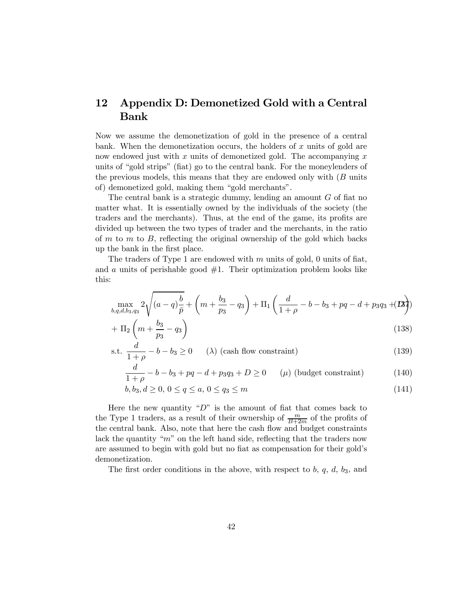### 12 Appendix D: Demonetized Gold with a Central Bank

Now we assume the demonetization of gold in the presence of a central bank. When the demonetization occurs, the holders of  $x$  units of gold are now endowed just with  $x$  units of demonetized gold. The accompanying  $x$ units of "gold strips" (fiat) go to the central bank. For the moneylenders of the previous models, this means that they are endowed only with  $(B \text{ units})$ of) demonetized gold, making them "gold merchants".

The central bank is a strategic dummy, lending an amount  $G$  of fiat no matter what. It is essentially owned by the individuals of the society (the traders and the merchants). Thus, at the end of the game, its profits are divided up between the two types of trader and the merchants, in the ratio of  $m$  to  $m$ , reflecting the original ownership of the gold which backs up the bank in the first place.

The traders of Type 1 are endowed with  $m$  units of gold, 0 units of fiat, and  $\alpha$  units of perishable good  $\#1$ . Their optimization problem looks like this:

$$
\max_{b,q,d,b_3,q_3} 2\sqrt{(a-q)\frac{b}{\bar{p}}} + \left(m + \frac{b_3}{p_3} - q_3\right) + \Pi_1\left(\frac{d}{1+\rho} - b - b_3 + pq - d + p_3q_3 + (B)\right)
$$

$$
+\Pi_2\left(m+\frac{b_3}{p_3}-q_3\right) \tag{138}
$$

s.t. 
$$
\frac{d}{1+\rho} - b - b_3 \ge 0 \qquad (\lambda) \text{ (cash flow constraint)}
$$
 (139)

$$
\frac{d}{1+\rho} - b - b_3 + pq - d + p_3 q_3 + D \ge 0 \qquad (\mu) \text{ (budget constraint)} \tag{140}
$$

$$
b, b_3, d \ge 0, \ 0 \le q \le a, \ 0 \le q_3 \le m \tag{141}
$$

Here the new quantity " $D$ " is the amount of fiat that comes back to the Type 1 traders, as a result of their ownership of  $\frac{m}{B+2m}$  of the profits of the central bank. Also, note that here the cash flow and budget constraints lack the quantity " $m$ " on the left hand side, reflecting that the traders now are assumed to begin with gold but no fiat as compensation for their gold's demonetization.

The first order conditions in the above, with respect to  $b, q, d, b_3$ , and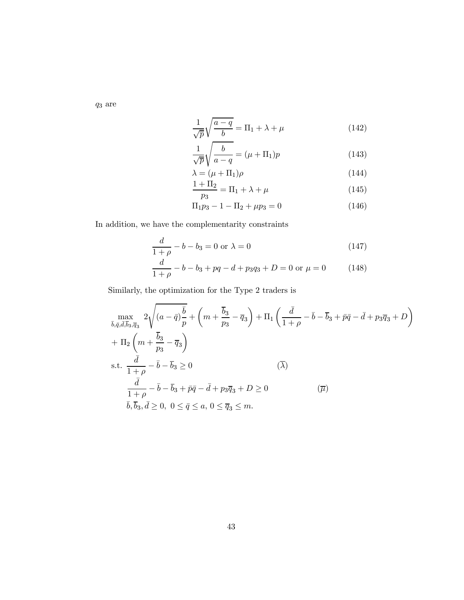$q_3$  are

$$
\frac{1}{\sqrt{p}}\sqrt{\frac{a-q}{b}} = \Pi_1 + \lambda + \mu \tag{142}
$$

$$
\frac{1}{\sqrt{\overline{p}}} \sqrt{\frac{b}{a-q}} = (\mu + \Pi_1)p \tag{143}
$$

$$
\lambda = (\mu + \Pi_1)\rho \tag{144}
$$

$$
\frac{1+\Pi_2}{p_3} = \Pi_1 + \lambda + \mu \tag{145}
$$

$$
\Pi_1 p_3 - 1 - \Pi_2 + \mu p_3 = 0 \tag{146}
$$

In addition, we have the complementarity constraints

$$
\frac{d}{1+\rho} - b - b_3 = 0 \text{ or } \lambda = 0 \tag{147}
$$

$$
\frac{d}{1+\rho} - b - b_3 + pq - d + p_3 q_3 + D = 0 \text{ or } \mu = 0 \tag{148}
$$

Similarly, the optimization for the Type 2 traders is

$$
\max_{\bar{b},\bar{q},\bar{d},\bar{b}_3,\bar{q}_3} 2\sqrt{(a-\bar{q})\frac{\bar{b}}{p}} + \left(m + \frac{\bar{b}_3}{p_3} - \bar{q}_3\right) + \Pi_1 \left(\frac{\bar{d}}{1+\rho} - \bar{b} - \bar{b}_3 + \bar{p}\bar{q} - \bar{d} + p_3\bar{q}_3 + D\right) \n+ \Pi_2 \left(m + \frac{\bar{b}_3}{p_3} - \bar{q}_3\right) \ns.t. \frac{\bar{d}}{1+\rho} - \bar{b} - \bar{b}_3 \ge 0 \qquad (\bar{\lambda}) \n\frac{\bar{d}}{1+\rho} - \bar{b} - \bar{b}_3 + \bar{p}\bar{q} - \bar{d} + p_3\bar{q}_3 + D \ge 0 \qquad (\bar{\mu}) \n\bar{b},\bar{b}_3,\bar{d} \ge 0, 0 \le \bar{q} \le a, 0 \le \bar{q}_3 \le m.
$$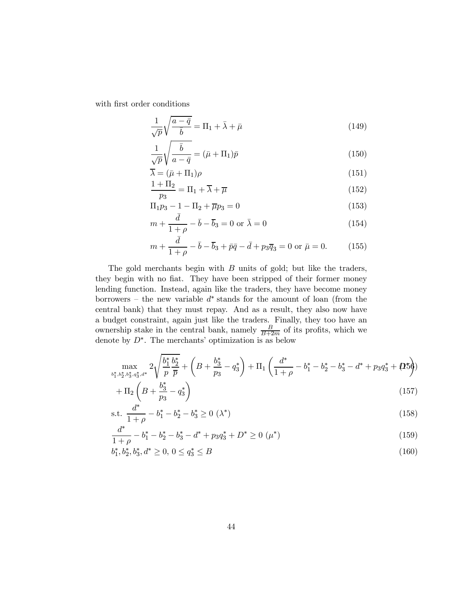with first order conditions

$$
\frac{1}{\sqrt{p}}\sqrt{\frac{a-\bar{q}}{\bar{b}}} = \Pi_1 + \bar{\lambda} + \bar{\mu}
$$
\n(149)

$$
\frac{1}{\sqrt{p}}\sqrt{\frac{\bar{b}}{a-\bar{q}}} = (\bar{\mu} + \Pi_1)\bar{p}
$$
\n(150)

$$
\overline{\lambda} = (\bar{\mu} + \Pi_1)\rho \tag{151}
$$

$$
\frac{1+\Pi_2}{p_3} = \Pi_1 + \overline{\lambda} + \overline{\mu}
$$
\n(152)

$$
\Pi_1 p_3 - 1 - \Pi_2 + \overline{\mu} p_3 = 0 \tag{153}
$$

$$
m + \frac{\bar{d}}{1+\rho} - \bar{b} - \bar{b}_3 = 0 \text{ or } \bar{\lambda} = 0
$$
\n(154)

$$
m + \frac{\bar{d}}{1+\rho} - \bar{b} - \bar{b}_3 + \bar{p}\bar{q} - \bar{d} + p_3\bar{q}_3 = 0 \text{ or } \bar{\mu} = 0.
$$
 (155)

The gold merchants begin with  $B$  units of gold; but like the traders, they begin with no fiat. They have been stripped of their former money lending function. Instead, again like the traders, they have become money borrowers – the new variable  $d^*$  stands for the amount of loan (from the central bank) that they must repay. And as a result, they also now have a budget constraint, again just like the traders. Finally, they too have an ownership stake in the central bank, namely  $\frac{B}{B+2m}$  of its profits, which we denote by  $D^*$ . The merchants' optimization is as below

$$
\max_{b_1^*, b_2^*, b_3^*, q_3^*, d^*} 2\sqrt{\frac{b_1^*}{p} \frac{b_2^*}{\overline{p}}} + \left(B + \frac{b_3^*}{p_3} - q_3^*\right) + \Pi_1\left(\frac{d^*}{1+\rho} - b_1^* - b_2^* - b_3^* - d^* + p_3 q_3^* + \mathbf{Q}^*\right)
$$

$$
+\Pi_2 \left( B + \frac{b_3^*}{p_3} - q_3^* \right) \tag{157}
$$

s.t. 
$$
\frac{d^*}{1+\rho} - b_1^* - b_2^* - b_3^* \ge 0 \ (\lambda^*)
$$
 (158)

$$
\frac{d^*}{1+\rho} - b_1^* - b_2^* - b_3^* - d^* + p_3 q_3^* + D^* \ge 0 \ (\mu^*)
$$
\n(159)

$$
b_1^*, b_2^*, b_3^*, d^* \ge 0, \ 0 \le q_3^* \le B \tag{160}
$$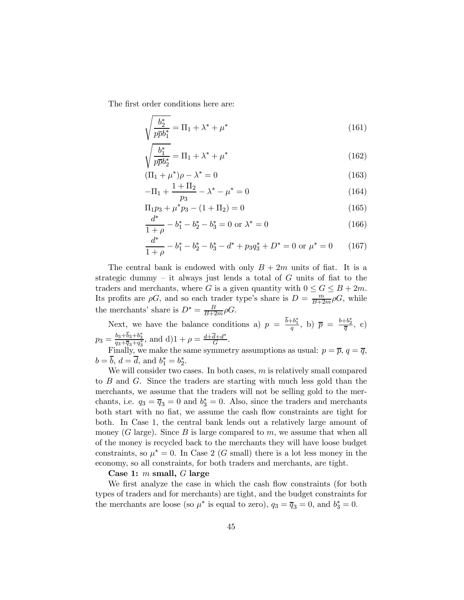The first order conditions here are:

$$
\sqrt{\frac{b_2^*}{p\overline{p}b_1^*}} = \Pi_1 + \lambda^* + \mu^* \tag{161}
$$

$$
\sqrt{\frac{b_1^*}{p\bar{p}b_2^*}} = \Pi_1 + \lambda^* + \mu^* \tag{162}
$$

$$
(\Pi_1 + \mu^*)\rho - \lambda^* = 0 \tag{163}
$$

$$
-\Pi_1 + \frac{1 + \Pi_2}{p_3} - \lambda^* - \mu^* = 0 \tag{164}
$$

$$
\Pi_1 p_3 + \mu^* p_3 - (1 + \Pi_2) = 0 \tag{165}
$$

$$
\frac{d^*}{1+\rho} - b_1^* - b_2^* - b_3^* = 0 \text{ or } \lambda^* = 0 \tag{166}
$$

$$
\frac{d^*}{1+\rho} - b_1^* - b_2^* - b_3^* - d^* + p_3 q_3^* + D^* = 0 \text{ or } \mu^* = 0 \tag{167}
$$

The central bank is endowed with only  $B + 2m$  units of fiat. It is a strategic dummy – it always just lends a total of  $G$  units of fiat to the traders and merchants, where G is a given quantity with  $0 \le G \le B + 2m$ . Its profits are  $\rho G$ , and so each trader type's share is  $D = \frac{m}{B+2m}\rho G$ , while the merchants' share is  $D^* = \frac{B}{B+2m}\rho G$ .

Next, we have the balance conditions a)  $p = \frac{b+b_1^*}{q}$ , b)  $\overline{p} = \frac{b+b_2^*}{\overline{q}}$ , c)  $p_3 = \frac{b_3 + b_3 + b_3^*}{q_3 + \overline{q}_3 + q_3^*}$ , and  $d)1 + \rho = \frac{d + \overline{d} + d^*}{G}$ . Finally, we make the same symmetry assumptions as usual:  $p = \overline{p}, q = \overline{q}$ ,

$$
b = b, d = d
$$
, and  $b_1^* = b_2^*$ .

We will consider two cases. In both cases,  $m$  is relatively small compared to  $B$  and  $G$ . Since the traders are starting with much less gold than the merchants, we assume that the traders will not be selling gold to the merchants, i.e.  $q_3 = \overline{q}_3 = 0$  and  $b_3^* = 0$ . Also, since the traders and merchants both start with no fiat, we assume the cash flow constraints are tight for both. In Case 1, the central bank lends out a relatively large amount of money (G large). Since  $B$  is large compared to  $m$ , we assume that when all of the money is recycled back to the merchants they will have loose budget constraints, so  $\mu^* = 0$ . In Case 2 (G small) there is a lot less money in the economy, so all constraints, for both traders and merchants, are tight.

#### Case 1:  $m$  small,  $G$  large

We first analyze the case in which the cash flow constraints (for both types of traders and for merchants) are tight, and the budget constraints for the merchants are loose (so  $\mu^*$  is equal to zero),  $q_3 = \overline{q}_3 = 0$ , and  $b_3^* = 0$ .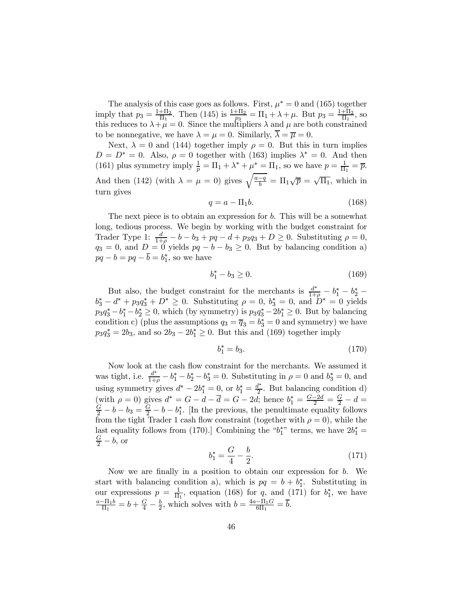The analysis of this case goes as follows. First,  $\mu^* = 0$  and (165) together imply that  $p_3 = \frac{1+\Pi_2}{\Pi_1}$ . Then (145) is  $\frac{1+\Pi_2}{p_3} = \Pi_1 + \lambda + \mu$ . But  $p_3 = \frac{1+\Pi_2}{\Pi_1}$ , so this reduces to  $\lambda + \mu = 0$ . Since the multipliers  $\lambda$  and  $\mu$  are both constrained to be nonnegative, we have  $\lambda = \mu = 0$ . Similarly,  $\overline{\lambda} = \overline{\mu} = 0$ .

Next,  $\lambda = 0$  and (144) together imply  $\rho = 0$ . But this in turn implies  $D = D^* = 0$ . Also,  $\rho = 0$  together with (163) implies  $\lambda^* = 0$ . And then (161) plus symmetry imply  $\frac{1}{p} = \Pi_1 + \lambda^* + \mu^* = \Pi_1$ , so we have  $p = \frac{1}{\Pi_1} = \overline{p}$ . And then (142) (with  $\lambda = \mu = 0$ ) gives  $\sqrt{\frac{a-q}{b}} = \Pi_1 \sqrt{\overline{p}} = \sqrt{\Pi_1}$ , which in turn gives

$$
q = a - \Pi_1 b. \tag{168}
$$

The next piece is to obtain an expression for  $b$ . This will be a somewhat long, tedious process. We begin by working with the budget constraint for Trader Type 1:  $\frac{d}{1+\rho}-b-b_3+pq-d+p_3q_3+D\geq 0$ . Substituting  $\rho=0$ ,  $q_3 = 0$ , and  $D = 0$  yields  $pq - b - b_3 \ge 0$ . But by balancing condition a)  $pq - b = pq - b = b_1^*$ , so we have

$$
b_1^* - b_3 \ge 0. \tag{169}
$$

But also, the budget constraint for the merchants is  $\frac{d^*}{1+\rho} - b_1^* - b_2^*$  $b_3^* - d^* + p_3 q_3^* + D^* \ge 0$ . Substituting  $\rho = 0$ ,  $b_3^* = 0$ , and  $D^* = 0$  yields  $p_3q_3^* - b_1^* - b_2^* \ge 0$ , which (by symmetry) is  $p_3q_3^* - 2b_1^* \ge 0$ . But by balancing condition c) (plus the assumptions  $q_3 = \overline{q}_3 = b_3^* = 0$  and symmetry) we have  $p_3q_3^* = 2b_3$ , and so  $2b_3 - 2b_1^* \ge 0$ . But this and (169) together imply

$$
b_1^* = b_3. \t\t(170)
$$

Now look at the cash flow constraint for the merchants. We assumed it was tight, i.e.  $\frac{d^*}{1+\rho} - b_1^* - b_2^* - b_3^* = 0$ . Substituting in  $\rho = 0$  and  $b_3^* = 0$ , and using symmetry gives  $d^* - 2b_1^* = 0$ , or  $b_1^* = \frac{d^*}{2}$ . But balancing condition d) (with  $\rho = 0$ ) gives  $d^* = G - d - \overline{d} = G - 2d$ ; hence  $b_1^* = \frac{G - 2d}{2} = \frac{G}{2} - d = \frac{G}{2} - h - h$ , leaves [In the previous the penultimate equality follows  $\frac{G}{2} - b - b_3 = \frac{G}{2} - b - b_1^*$ . [In the previous, the penultimate equality follows from the tight Trader 1 cash flow constraint (together with  $\rho = 0$ ), while the last equality follows from (170).] Combining the " $b_1^*$ " terms, we have  $2b_1^* = \frac{G}{\pi} - b$  or  $rac{G}{2} - b$ , or

$$
b_1^* = \frac{G}{4} - \frac{b}{2}.\tag{171}
$$

Now we are finally in a position to obtain our expression for  $b$ . We start with balancing condition a), which is  $pq = b + b_1^*$ . Substituting in our expressions  $p = \frac{1}{\Pi_1}$ , equation (168) for q, and (171) for  $b_1^*$ , we have  $\frac{a-\Pi_1b}{\Pi_1} = b + \frac{G}{4} - \frac{b}{2}$ , which solves with  $b = \frac{4a-\Pi_1G}{6\Pi_1} = \overline{b}$ .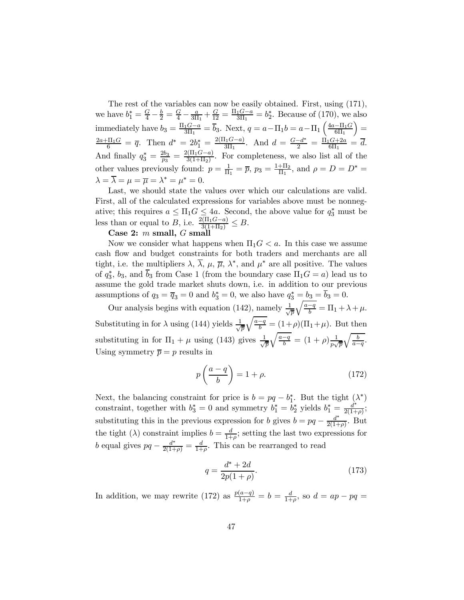The rest of the variables can now be easily obtained. First, using (171), we have  $b_1^* = \frac{G}{4} - \frac{b}{2} = \frac{G}{4} - \frac{a}{3\Pi_1} + \frac{G}{12} = \frac{\Pi_1 G - a}{3\Pi_1} = b_2^*$ . Because of (170), we also immediately have  $b_3 = \frac{\Pi_1 G - a}{3\Pi_1} = \overline{b}_3$ . Next,  $q = a - \Pi_1 b = a - \Pi_1 \left( \frac{4a - \Pi_1 G}{6\Pi_1} \right)$  $) =$  $\frac{2a+\Pi_1G}{6} = \overline{q}$ . Then  $d^* = 2b_1^* = \frac{2(\Pi_1G-a)}{3\Pi_1}$ . And  $d = \frac{G-d^*}{2} = \frac{\Pi_1G+2a}{6\Pi_1} = \overline{d}$ . And finally  $q_3^* = \frac{2b_3}{p_3} = \frac{2(\Pi_1 G - a)}{3(1 + \Pi_2)}$ . For completeness, we also list all of the other values previously found:  $p = \frac{1}{\Pi_1} = \overline{p}$ ,  $p_3 = \frac{1 + \Pi_2}{\Pi_1}$ , and  $\rho = D = D^* =$  $\lambda = \overline{\lambda} = \mu = \overline{\mu} = \lambda^* = \mu^* = 0.$ 

Last, we should state the values over which our calculations are valid. First, all of the calculated expressions for variables above must be nonnegative; this requires  $a \leq \Pi_1 G \leq 4a$ . Second, the above value for  $q_3^*$  must be less than or equal to B, i.e.  $\frac{2(\Pi_1 G - a)}{3(1 + \Pi_2)} \leq B$ .

#### Case 2:  $m$  small,  $G$  small

Now we consider what happens when  $\Pi_1 G < a$ . In this case we assume cash flow and budget constraints for both traders and merchants are all tight, i.e. the multipliers  $\lambda$ ,  $\overline{\lambda}$ ,  $\mu$ ,  $\overline{\mu}$ ,  $\lambda^*$ , and  $\mu^*$  are all positive. The values of  $q_3^*$ ,  $b_3$ , and  $b_3$  from Case 1 (from the boundary case  $\Pi_1 G = a$ ) lead us to assume the gold trade market shuts down, i.e. in addition to our previous assumptions of  $q_3 = \overline{q}_3 = 0$  and  $b_3^* = 0$ , we also have  $q_3^* = \underline{b_3} = \underline{b_3} = 0$ .

Our analysis begins with equation (142), namely  $\frac{1}{\sqrt{2}}$  $\frac{d}{d\overline{p}}\sqrt{\frac{a-q}{b}}=\Pi_1+\lambda+\mu.$ Substituting in for  $\lambda$  using (144) yields  $\frac{1}{\lambda}$  $\frac{1}{\overline{p}}\sqrt{\frac{a-q}{b}} = (1+\rho)(\Pi_1+\mu)$ . But then substituting in for  $\Pi_1 + \mu$  using (143) gives  $\frac{1}{\sqrt{2}}$  $\frac{1}{\overline{p}}\sqrt{\frac{a-q}{b}} = (1+\rho)\frac{1}{p\sqrt{\overline{p}}}$  $\sqrt{\frac{b}{a-q}}$ . Using symmetry  $\overline{p} = p$  results in

$$
p\left(\frac{a-q}{b}\right) = 1 + \rho. \tag{172}
$$

Next, the balancing constraint for price is  $b = pq - b_1^*$ . But the tight  $(\lambda^*)$ constraint, together with  $b_3^* = 0$  and symmetry  $b_1^* = b_2^*$  yields  $b_1^* = \frac{d^*}{2(1+\rho)}$ ; substituting this in the previous expression for b gives  $b = pq - \frac{d^*}{2(1+\rho)}$ . But the tight ( $\lambda$ ) constraint implies  $b = \frac{d}{1+\rho}$ ; setting the last two expressions for b equal gives  $pq - \frac{d^*}{2(1+\rho)} = \frac{d}{1+\rho}$ . This can be rearranged to read

$$
q = \frac{d^* + 2d}{2p(1+\rho)}.\t(173)
$$

In addition, we may rewrite (172) as  $\frac{p(a-q)}{1+\rho} = b = \frac{d}{1+\rho}$ , so  $d = ap - pq =$